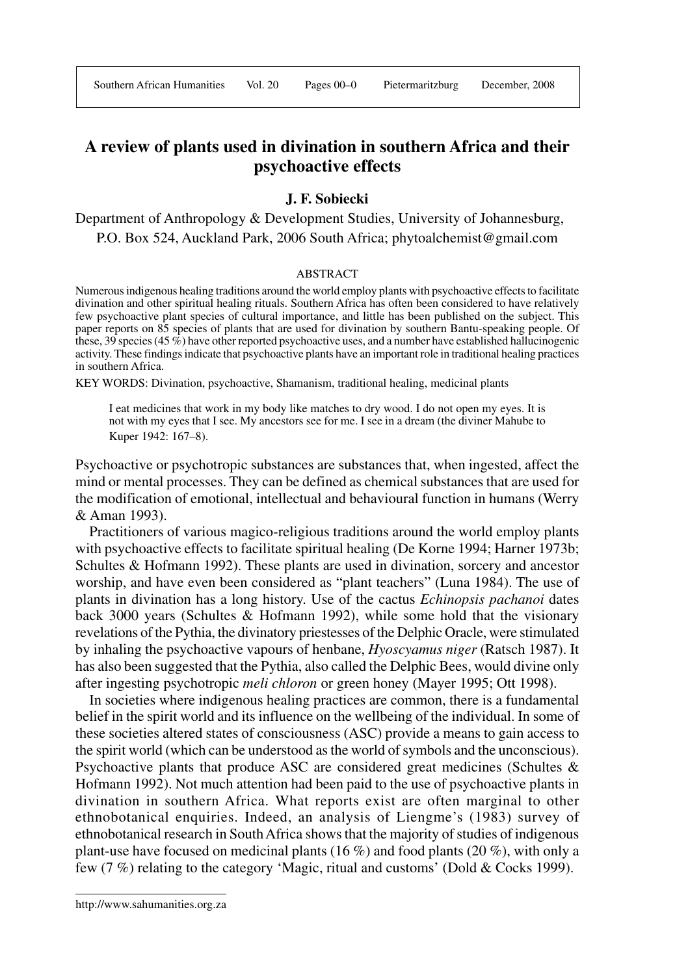# **A review of plants used in divination in southern Africa and their psychoactive effects**

# **J. F. Sobiecki**

Department of Anthropology & Development Studies, University of Johannesburg, P.O. Box 524, Auckland Park, 2006 South Africa; phytoalchemist@gmail.com

#### ABSTRACT

Numerous indigenous healing traditions around the world employ plants with psychoactive effects to facilitate divination and other spiritual healing rituals. Southern Africa has often been considered to have relatively few psychoactive plant species of cultural importance, and little has been published on the subject. This paper reports on 85 species of plants that are used for divination by southern Bantu-speaking people. Of these, 39 species (45 %) have other reported psychoactive uses, and a number have established hallucinogenic activity. These findings indicate that psychoactive plants have an important role in traditional healing practices in southern Africa.

KEY WORDS: Divination, psychoactive, Shamanism, traditional healing, medicinal plants

I eat medicines that work in my body like matches to dry wood. I do not open my eyes. It is not with my eyes that I see. My ancestors see for me. I see in a dream (the diviner Mahube to Kuper 1942: 167–8).

Psychoactive or psychotropic substances are substances that, when ingested, affect the mind or mental processes. They can be defined as chemical substances that are used for the modification of emotional, intellectual and behavioural function in humans (Werry & Aman 1993).

Practitioners of various magico-religious traditions around the world employ plants with psychoactive effects to facilitate spiritual healing (De Korne 1994; Harner 1973b; Schultes & Hofmann 1992). These plants are used in divination, sorcery and ancestor worship, and have even been considered as "plant teachers" (Luna 1984). The use of plants in divination has a long history. Use of the cactus *Echinopsis pachanoi* dates back 3000 years (Schultes & Hofmann 1992), while some hold that the visionary revelations of the Pythia, the divinatory priestesses of the Delphic Oracle, were stimulated by inhaling the psychoactive vapours of henbane, *Hyoscyamus niger* (Ratsch 1987). It has also been suggested that the Pythia, also called the Delphic Bees, would divine only after ingesting psychotropic *meli chloron* or green honey (Mayer 1995; Ott 1998).

In societies where indigenous healing practices are common, there is a fundamental belief in the spirit world and its influence on the wellbeing of the individual. In some of these societies altered states of consciousness (ASC) provide a means to gain access to the spirit world (which can be understood as the world of symbols and the unconscious). Psychoactive plants that produce ASC are considered great medicines (Schultes & Hofmann 1992). Not much attention had been paid to the use of psychoactive plants in divination in southern Africa. What reports exist are often marginal to other ethnobotanical enquiries. Indeed, an analysis of Liengme's (1983) survey of ethnobotanical research in South Africa shows that the majority of studies of indigenous plant-use have focused on medicinal plants (16 %) and food plants (20 %), with only a few (7 %) relating to the category 'Magic, ritual and customs' (Dold & Cocks 1999).

http://www.sahumanities.org.za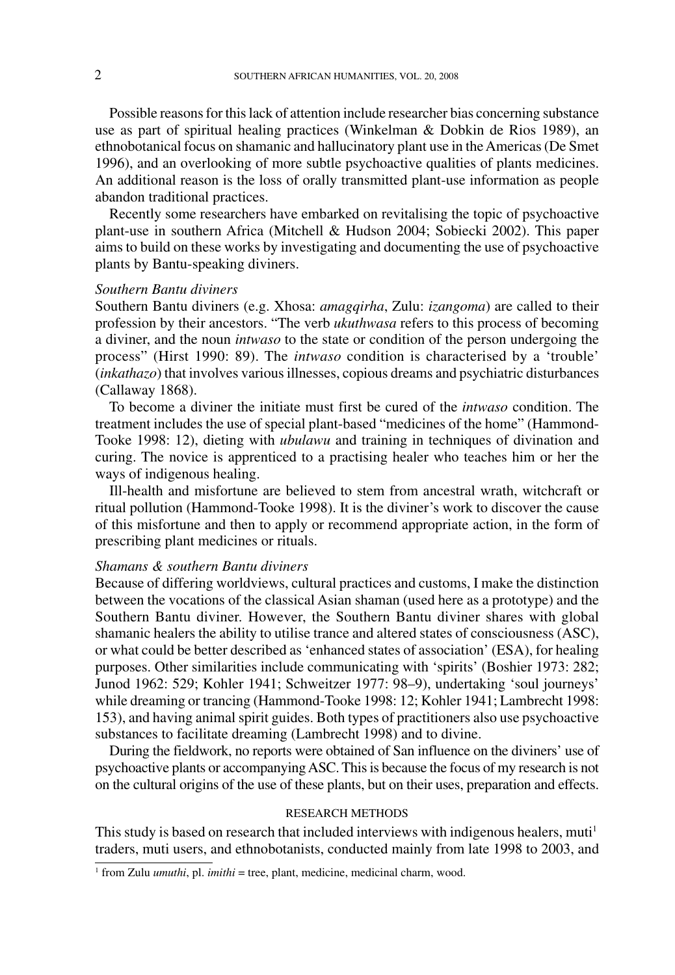Possible reasons for this lack of attention include researcher bias concerning substance use as part of spiritual healing practices (Winkelman & Dobkin de Rios 1989), an ethnobotanical focus on shamanic and hallucinatory plant use in the Americas (De Smet 1996), and an overlooking of more subtle psychoactive qualities of plants medicines. An additional reason is the loss of orally transmitted plant-use information as people abandon traditional practices.

Recently some researchers have embarked on revitalising the topic of psychoactive plant-use in southern Africa (Mitchell & Hudson 2004; Sobiecki 2002). This paper aims to build on these works by investigating and documenting the use of psychoactive plants by Bantu-speaking diviners.

### *Southern Bantu diviners*

Southern Bantu diviners (e.g. Xhosa: *amagqirha*, Zulu: *izangoma*) are called to their profession by their ancestors. "The verb *ukuthwasa* refers to this process of becoming a diviner, and the noun *intwaso* to the state or condition of the person undergoing the process" (Hirst 1990: 89). The *intwaso* condition is characterised by a 'trouble' (*inkathazo*) that involves various illnesses, copious dreams and psychiatric disturbances (Callaway 1868).

To become a diviner the initiate must first be cured of the *intwaso* condition. The treatment includes the use of special plant-based "medicines of the home" (Hammond-Tooke 1998: 12), dieting with *ubulawu* and training in techniques of divination and curing. The novice is apprenticed to a practising healer who teaches him or her the ways of indigenous healing.

Ill-health and misfortune are believed to stem from ancestral wrath, witchcraft or ritual pollution (Hammond-Tooke 1998). It is the diviner's work to discover the cause of this misfortune and then to apply or recommend appropriate action, in the form of prescribing plant medicines or rituals.

# *Shamans & southern Bantu diviners*

Because of differing worldviews, cultural practices and customs, I make the distinction between the vocations of the classical Asian shaman (used here as a prototype) and the Southern Bantu diviner. However, the Southern Bantu diviner shares with global shamanic healers the ability to utilise trance and altered states of consciousness (ASC), or what could be better described as 'enhanced states of association' (ESA), for healing purposes. Other similarities include communicating with 'spirits' (Boshier 1973: 282; Junod 1962: 529; Kohler 1941; Schweitzer 1977: 98–9), undertaking 'soul journeys' while dreaming or trancing (Hammond-Tooke 1998: 12; Kohler 1941; Lambrecht 1998: 153), and having animal spirit guides. Both types of practitioners also use psychoactive substances to facilitate dreaming (Lambrecht 1998) and to divine.

During the fieldwork, no reports were obtained of San influence on the diviners' use of psychoactive plants or accompanying ASC. This is because the focus of my research is not on the cultural origins of the use of these plants, but on their uses, preparation and effects.

#### RESEARCH METHODS

This study is based on research that included interviews with indigenous healers, muti<sup>1</sup> traders, muti users, and ethnobotanists, conducted mainly from late 1998 to 2003, and

<sup>&</sup>lt;sup>1</sup> from Zulu *umuthi*, pl. *imithi* = tree, plant, medicine, medicinal charm, wood.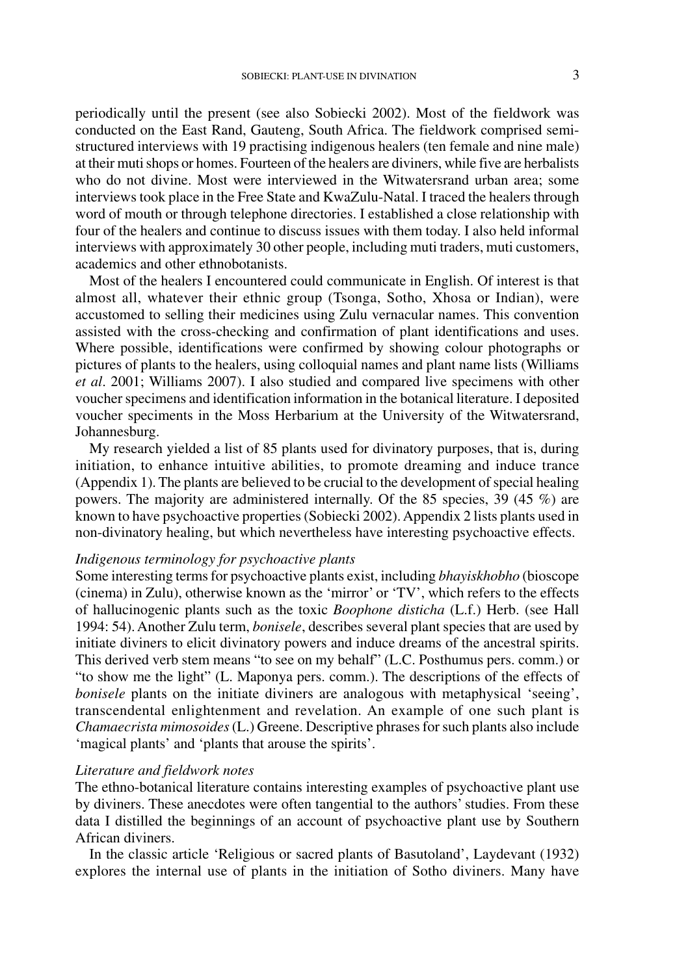periodically until the present (see also Sobiecki 2002). Most of the fieldwork was conducted on the East Rand, Gauteng, South Africa. The fieldwork comprised semistructured interviews with 19 practising indigenous healers (ten female and nine male) at their mutishops or homes. Fourteen of the healers are diviners, while five are herbalists who do not divine. Most were interviewed in the Witwatersrand urban area; some interviews took place in the Free State and KwaZulu-Natal. I traced the healers through word of mouth or through telephone directories. I established a close relationship with four of the healers and continue to discuss issues with them today. I also held informal interviews with approximately 30 other people, including muti traders, muti customers, academics and other ethnobotanists.

Most of the healers I encountered could communicate in English. Of interest is that almost all, whatever their ethnic group (Tsonga, Sotho, Xhosa or Indian), were accustomed to selling their medicines using Zulu vernacular names. This convention assisted with the cross-checking and confirmation of plant identifications and uses. Where possible, identifications were confirmed by showing colour photographs or pictures of plants to the healers, using colloquial names and plant name lists (Williams *et al*. 2001; Williams 2007). I also studied and compared live specimens with other voucher specimens and identification information in the botanical literature. I deposited voucher speciments in the Moss Herbarium at the University of the Witwatersrand, Johannesburg.

My research yielded a list of 85 plants used for divinatory purposes, that is, during initiation, to enhance intuitive abilities, to promote dreaming and induce trance (Appendix 1). The plants are believed to be crucial to the development of special healing powers. The majority are administered internally. Of the 85 species, 39 (45 %) are known to have psychoactive properties (Sobiecki 2002). Appendix 2 lists plants used in non-divinatory healing, but which nevertheless have interesting psychoactive effects.

### *Indigenous terminology for psychoactive plants*

Some interesting terms for psychoactive plants exist, including *bhayiskhobho* (bioscope (cinema) in Zulu), otherwise known as the 'mirror' or 'TV', which refers to the effects of hallucinogenic plants such as the toxic *Boophone disticha* (L.f.) Herb. (see Hall 1994: 54). Another Zulu term, *bonisele*, describes several plant species that are used by initiate diviners to elicit divinatory powers and induce dreams of the ancestral spirits. This derived verb stem means "to see on my behalf" (L.C. Posthumus pers. comm.) or "to show me the light" (L. Maponya pers. comm.). The descriptions of the effects of *bonisele* plants on the initiate diviners are analogous with metaphysical 'seeing', transcendental enlightenment and revelation. An example of one such plant is *Chamaecrista mimosoides* (L.) Greene. Descriptive phrases for such plants also include 'magical plants' and 'plants that arouse the spirits'.

### *Literature and fieldwork notes*

The ethno-botanical literature contains interesting examples of psychoactive plant use by diviners. These anecdotes were often tangential to the authors' studies. From these data I distilled the beginnings of an account of psychoactive plant use by Southern African diviners.

In the classic article 'Religious or sacred plants of Basutoland', Laydevant (1932) explores the internal use of plants in the initiation of Sotho diviners. Many have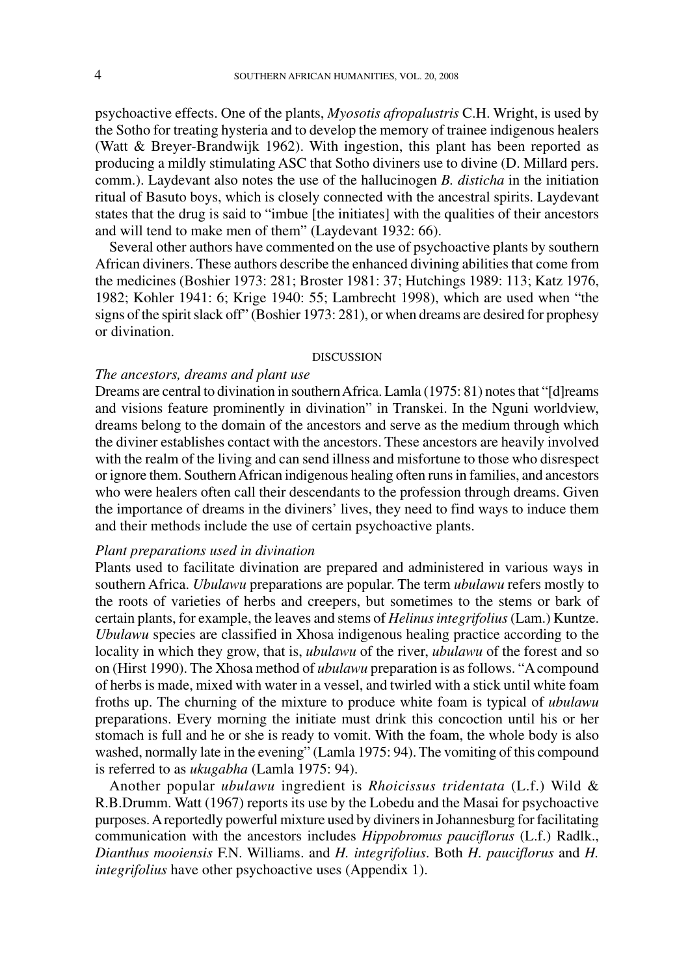psychoactive effects. One of the plants, *Myosotis afropalustris* C.H. Wright, is used by the Sotho for treating hysteria and to develop the memory of trainee indigenous healers (Watt & Breyer-Brandwijk 1962). With ingestion, this plant has been reported as producing a mildly stimulating ASC that Sotho diviners use to divine (D. Millard pers. comm.). Laydevant also notes the use of the hallucinogen *B. disticha* in the initiation ritual of Basuto boys, which is closely connected with the ancestral spirits. Laydevant states that the drug is said to "imbue [the initiates] with the qualities of their ancestors and will tend to make men of them" (Laydevant 1932: 66).

Several other authors have commented on the use of psychoactive plants by southern African diviners. These authors describe the enhanced divining abilities that come from the medicines (Boshier 1973: 281; Broster 1981: 37; Hutchings 1989: 113; Katz 1976, 1982; Kohler 1941: 6; Krige 1940: 55; Lambrecht 1998), which are used when "the signs of the spirit slack off" (Boshier 1973: 281), or when dreams are desired for prophesy or divination.

#### DISCUSSION

# *The ancestors, dreams and plant use*

Dreams are central to divination in southern Africa. Lamla (1975: 81) notes that "[d]reams and visions feature prominently in divination" in Transkei. In the Nguni worldview, dreams belong to the domain of the ancestors and serve as the medium through which the diviner establishes contact with the ancestors. These ancestors are heavily involved with the realm of the living and can send illness and misfortune to those who disrespect or ignore them. Southern African indigenous healing often runs in families, and ancestors who were healers often call their descendants to the profession through dreams. Given the importance of dreams in the diviners' lives, they need to find ways to induce them and their methods include the use of certain psychoactive plants.

### *Plant preparations used in divination*

Plants used to facilitate divination are prepared and administered in various ways in southern Africa. *Ubulawu* preparations are popular. The term *ubulawu* refers mostly to the roots of varieties of herbs and creepers, but sometimes to the stems or bark of certain plants, for example, the leaves and stems of *Helinus integrifolius* (Lam.) Kuntze. *Ubulawu* species are classified in Xhosa indigenous healing practice according to the locality in which they grow, that is, *ubulawu* of the river, *ubulawu* of the forest and so on (Hirst 1990). The Xhosa method of *ubulawu* preparation is as follows. "A compound of herbs is made, mixed with water in a vessel, and twirled with a stick until white foam froths up. The churning of the mixture to produce white foam is typical of *ubulawu* preparations. Every morning the initiate must drink this concoction until his or her stomach is full and he or she is ready to vomit. With the foam, the whole body is also washed, normally late in the evening" (Lamla 1975: 94). The vomiting of this compound is referred to as *ukugabha* (Lamla 1975: 94).

Another popular *ubulawu* ingredient is *Rhoicissus tridentata* (L.f.) Wild & R.B.Drumm. Watt (1967) reports its use by the Lobedu and the Masai for psychoactive purposes. A reportedly powerful mixture used by diviners in Johannesburg for facilitating communication with the ancestors includes *Hippobromus pauciflorus* (L.f.) Radlk., *Dianthus mooiensis* F.N. Williams. and *H. integrifolius*. Both *H. pauciflorus* and *H. integrifolius* have other psychoactive uses (Appendix 1).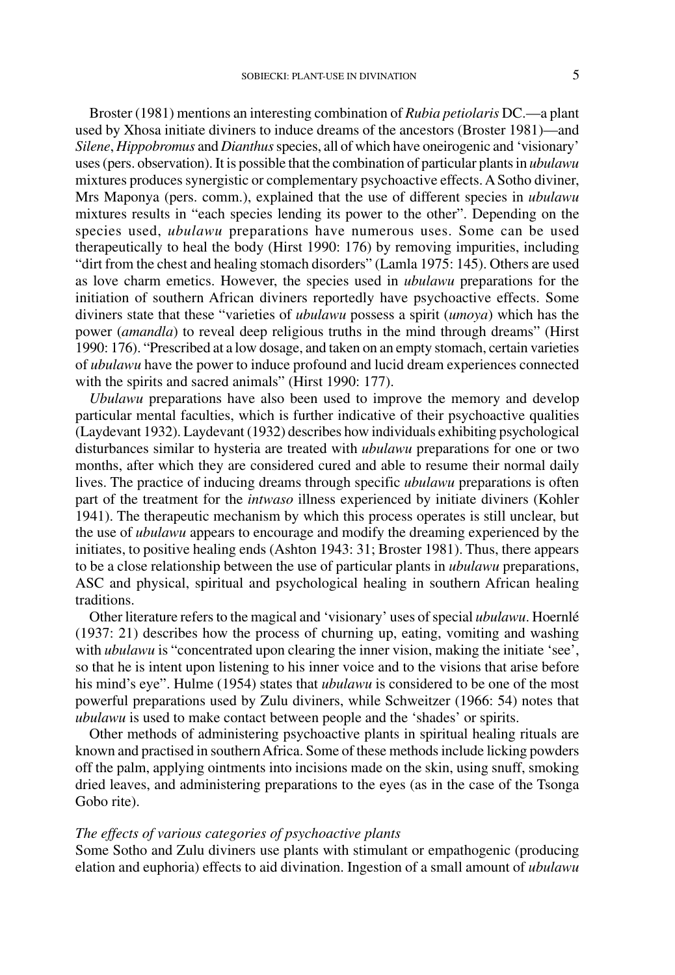Broster (1981) mentions an interesting combination of *Rubia petiolaris* DC.—a plant used by Xhosa initiate diviners to induce dreams of the ancestors (Broster 1981)—and *Silene*, *Hippobromus* and *Dianthus* species, all of which have oneirogenic and 'visionary' uses (pers. observation). It is possible that the combination of particular plants in *ubulawu* mixtures produces synergistic or complementary psychoactive effects. A Sotho diviner, Mrs Maponya (pers. comm.), explained that the use of different species in *ubulawu* mixtures results in "each species lending its power to the other". Depending on the species used, *ubulawu* preparations have numerous uses. Some can be used therapeutically to heal the body (Hirst 1990: 176) by removing impurities, including "dirt from the chest and healing stomach disorders" (Lamla 1975: 145). Others are used as love charm emetics. However, the species used in *ubulawu* preparations for the initiation of southern African diviners reportedly have psychoactive effects. Some diviners state that these "varieties of *ubulawu* possess a spirit (*umoya*) which has the power (*amandla*) to reveal deep religious truths in the mind through dreams" (Hirst 1990: 176). "Prescribed at a low dosage, and taken on an empty stomach, certain varieties of *ubulawu* have the power to induce profound and lucid dream experiences connected with the spirits and sacred animals" (Hirst 1990: 177).

*Ubulawu* preparations have also been used to improve the memory and develop particular mental faculties, which is further indicative of their psychoactive qualities (Laydevant 1932). Laydevant (1932) describes how individuals exhibiting psychological disturbances similar to hysteria are treated with *ubulawu* preparations for one or two months, after which they are considered cured and able to resume their normal daily lives. The practice of inducing dreams through specific *ubulawu* preparations is often part of the treatment for the *intwaso* illness experienced by initiate diviners (Kohler 1941). The therapeutic mechanism by which this process operates is still unclear, but the use of *ubulawu* appears to encourage and modify the dreaming experienced by the initiates, to positive healing ends (Ashton 1943: 31; Broster 1981). Thus, there appears to be a close relationship between the use of particular plants in *ubulawu* preparations, ASC and physical, spiritual and psychological healing in southern African healing traditions.

Other literature refers to the magical and 'visionary' uses of special *ubulawu*. Hoernlé (1937: 21) describes how the process of churning up, eating, vomiting and washing with *ubulawu* is "concentrated upon clearing the inner vision, making the initiate 'see', so that he is intent upon listening to his inner voice and to the visions that arise before his mind's eye". Hulme (1954) states that *ubulawu* is considered to be one of the most powerful preparations used by Zulu diviners, while Schweitzer (1966: 54) notes that *ubulawu* is used to make contact between people and the 'shades' or spirits.

Other methods of administering psychoactive plants in spiritual healing rituals are known and practised in southern Africa. Some of these methods include licking powders off the palm, applying ointments into incisions made on the skin, using snuff, smoking dried leaves, and administering preparations to the eyes (as in the case of the Tsonga Gobo rite).

## *The effects of various categories of psychoactive plants*

Some Sotho and Zulu diviners use plants with stimulant or empathogenic (producing elation and euphoria) effects to aid divination. Ingestion of a small amount of *ubulawu*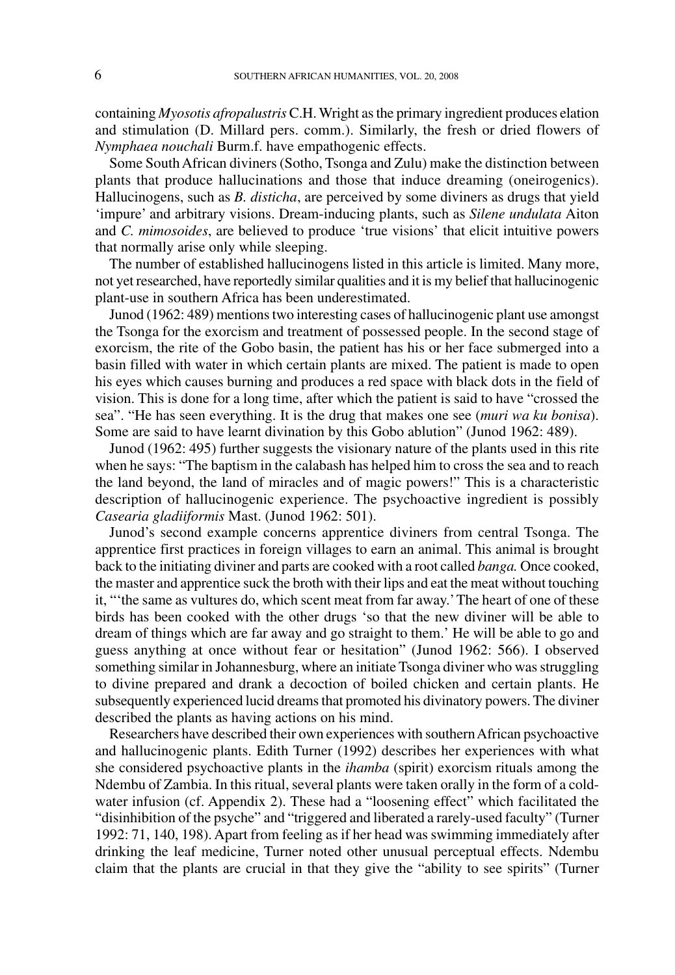containing *Myosotis afropalustris* C.H. Wright as the primary ingredient produces elation and stimulation (D. Millard pers. comm.). Similarly, the fresh or dried flowers of *Nymphaea nouchali* Burm.f. have empathogenic effects.

Some South African diviners (Sotho, Tsonga and Zulu) make the distinction between plants that produce hallucinations and those that induce dreaming (oneirogenics). Hallucinogens, such as *B. disticha*, are perceived by some diviners as drugs that yield 'impure' and arbitrary visions. Dream-inducing plants, such as *Silene undulata* Aiton and *C. mimosoides*, are believed to produce 'true visions' that elicit intuitive powers that normally arise only while sleeping.

The number of established hallucinogens listed in this article is limited. Many more, not yet researched, have reportedly similar qualities and it is my belief that hallucinogenic plant-use in southern Africa has been underestimated.

Junod (1962: 489) mentions two interesting cases of hallucinogenic plant use amongst the Tsonga for the exorcism and treatment of possessed people. In the second stage of exorcism, the rite of the Gobo basin, the patient has his or her face submerged into a basin filled with water in which certain plants are mixed. The patient is made to open his eyes which causes burning and produces a red space with black dots in the field of vision. This is done for a long time, after which the patient is said to have "crossed the sea". "He has seen everything. It is the drug that makes one see (*muri wa ku bonisa*). Some are said to have learnt divination by this Gobo ablution" (Junod 1962: 489).

Junod (1962: 495) further suggests the visionary nature of the plants used in this rite when he says: "The baptism in the calabash has helped him to cross the sea and to reach the land beyond, the land of miracles and of magic powers!" This is a characteristic description of hallucinogenic experience. The psychoactive ingredient is possibly *Casearia gladiiformis* Mast. (Junod 1962: 501).

Junod's second example concerns apprentice diviners from central Tsonga. The apprentice first practices in foreign villages to earn an animal. This animal is brought back to the initiating diviner and parts are cooked with a root called *banga.* Once cooked, the master and apprentice suck the broth with their lips and eat the meat without touching it, "'the same as vultures do, which scent meat from far away.' The heart of one of these birds has been cooked with the other drugs 'so that the new diviner will be able to dream of things which are far away and go straight to them.' He will be able to go and guess anything at once without fear or hesitation" (Junod 1962: 566). I observed something similar in Johannesburg, where an initiate Tsonga diviner who was struggling to divine prepared and drank a decoction of boiled chicken and certain plants. He subsequently experienced lucid dreams that promoted his divinatory powers. The diviner described the plants as having actions on his mind.

Researchers have described their own experiences with southern African psychoactive and hallucinogenic plants. Edith Turner (1992) describes her experiences with what she considered psychoactive plants in the *ihamba* (spirit) exorcism rituals among the Ndembu of Zambia. In this ritual, several plants were taken orally in the form of a coldwater infusion (cf. Appendix 2). These had a "loosening effect" which facilitated the "disinhibition of the psyche" and "triggered and liberated a rarely-used faculty" (Turner 1992: 71, 140, 198). Apart from feeling as if her head was swimming immediately after drinking the leaf medicine, Turner noted other unusual perceptual effects. Ndembu claim that the plants are crucial in that they give the "ability to see spirits" (Turner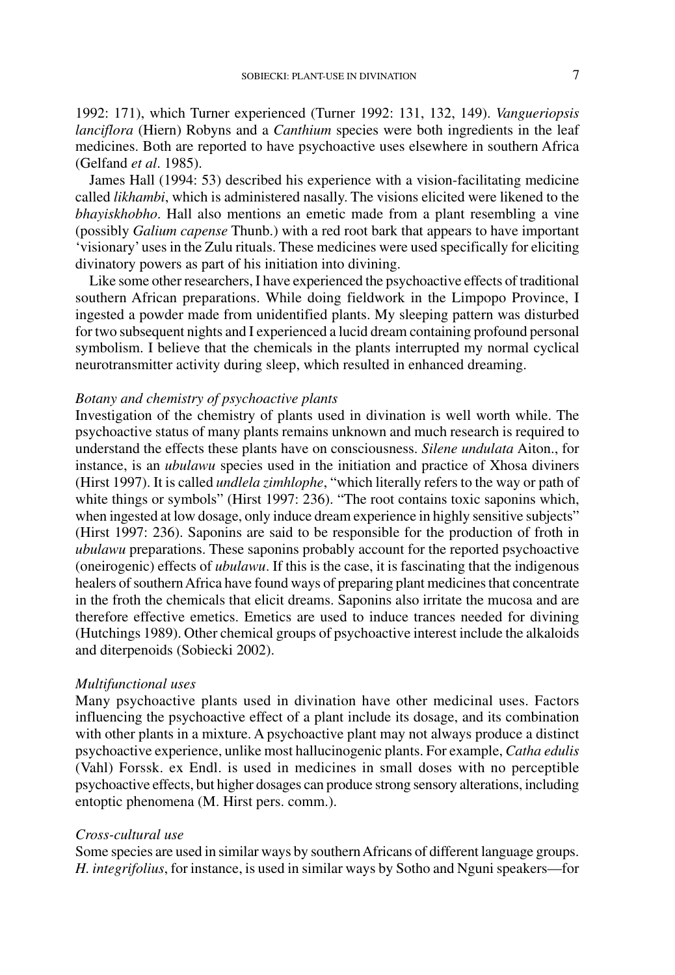1992: 171), which Turner experienced (Turner 1992: 131, 132, 149). *Vangueriopsis lanciflora* (Hiern) Robyns and a *Canthium* species were both ingredients in the leaf medicines. Both are reported to have psychoactive uses elsewhere in southern Africa (Gelfand *et al*. 1985).

James Hall (1994: 53) described his experience with a vision-facilitating medicine called *likhambi*, which is administered nasally. The visions elicited were likened to the *bhayiskhobho*. Hall also mentions an emetic made from a plant resembling a vine (possibly *Galium capense* Thunb.) with a red root bark that appears to have important 'visionary' uses in the Zulu rituals. These medicines were used specifically for eliciting divinatory powers as part of his initiation into divining.

Like some other researchers, I have experienced the psychoactive effects of traditional southern African preparations. While doing fieldwork in the Limpopo Province, I ingested a powder made from unidentified plants. My sleeping pattern was disturbed for two subsequent nights and I experienced a lucid dream containing profound personal symbolism. I believe that the chemicals in the plants interrupted my normal cyclical neurotransmitter activity during sleep, which resulted in enhanced dreaming.

# *Botany and chemistry of psychoactive plants*

Investigation of the chemistry of plants used in divination is well worth while. The psychoactive status of many plants remains unknown and much research is required to understand the effects these plants have on consciousness. *Silene undulata* Aiton., for instance, is an *ubulawu* species used in the initiation and practice of Xhosa diviners (Hirst 1997). It is called *undlela zimhlophe*, "which literally refers to the way or path of white things or symbols" (Hirst 1997: 236). "The root contains toxic saponins which, when ingested at low dosage, only induce dream experience in highly sensitive subjects" (Hirst 1997: 236). Saponins are said to be responsible for the production of froth in *ubulawu* preparations. These saponins probably account for the reported psychoactive (oneirogenic) effects of *ubulawu*. If this is the case, it is fascinating that the indigenous healers of southern Africa have found ways of preparing plant medicines that concentrate in the froth the chemicals that elicit dreams. Saponins also irritate the mucosa and are therefore effective emetics. Emetics are used to induce trances needed for divining (Hutchings 1989). Other chemical groups of psychoactive interest include the alkaloids and diterpenoids (Sobiecki 2002).

### *Multifunctional uses*

Many psychoactive plants used in divination have other medicinal uses. Factors influencing the psychoactive effect of a plant include its dosage, and its combination with other plants in a mixture. A psychoactive plant may not always produce a distinct psychoactive experience, unlike most hallucinogenic plants. For example, *Catha edulis* (Vahl) Forssk. ex Endl. is used in medicines in small doses with no perceptible psychoactive effects, but higher dosages can produce strong sensory alterations, including entoptic phenomena (M. Hirst pers. comm.).

### *Cross-cultural use*

Some species are used in similar ways by southern Africans of different language groups. *H. integrifolius*, for instance, is used in similar ways by Sotho and Nguni speakers—for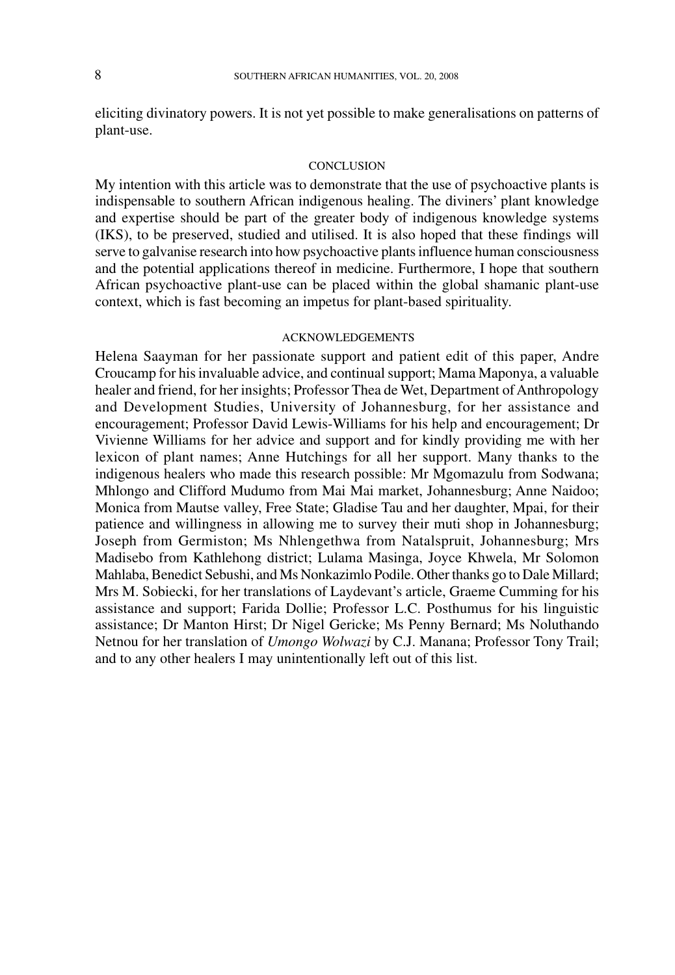eliciting divinatory powers. It is not yet possible to make generalisations on patterns of plant-use.

#### **CONCLUSION**

My intention with this article was to demonstrate that the use of psychoactive plants is indispensable to southern African indigenous healing. The diviners' plant knowledge and expertise should be part of the greater body of indigenous knowledge systems (IKS), to be preserved, studied and utilised. It is also hoped that these findings will serve to galvanise research into how psychoactive plants influence human consciousness and the potential applications thereof in medicine. Furthermore, I hope that southern African psychoactive plant-use can be placed within the global shamanic plant-use context, which is fast becoming an impetus for plant-based spirituality.

### ACKNOWLEDGEMENTS

Helena Saayman for her passionate support and patient edit of this paper, Andre Croucamp for his invaluable advice, and continual support; Mama Maponya, a valuable healer and friend, for her insights; Professor Thea de Wet, Department of Anthropology and Development Studies, University of Johannesburg, for her assistance and encouragement; Professor David Lewis-Williams for his help and encouragement; Dr Vivienne Williams for her advice and support and for kindly providing me with her lexicon of plant names; Anne Hutchings for all her support. Many thanks to the indigenous healers who made this research possible: Mr Mgomazulu from Sodwana; Mhlongo and Clifford Mudumo from Mai Mai market, Johannesburg; Anne Naidoo; Monica from Mautse valley, Free State; Gladise Tau and her daughter, Mpai, for their patience and willingness in allowing me to survey their muti shop in Johannesburg; Joseph from Germiston; Ms Nhlengethwa from Natalspruit, Johannesburg; Mrs Madisebo from Kathlehong district; Lulama Masinga, Joyce Khwela, Mr Solomon Mahlaba, Benedict Sebushi, and Ms Nonkazimlo Podile. Other thanks go to Dale Millard; Mrs M. Sobiecki, for her translations of Laydevant's article, Graeme Cumming for his assistance and support; Farida Dollie; Professor L.C. Posthumus for his linguistic assistance; Dr Manton Hirst; Dr Nigel Gericke; Ms Penny Bernard; Ms Noluthando Netnou for her translation of *Umongo Wolwazi* by C.J. Manana; Professor Tony Trail; and to any other healers I may unintentionally left out of this list.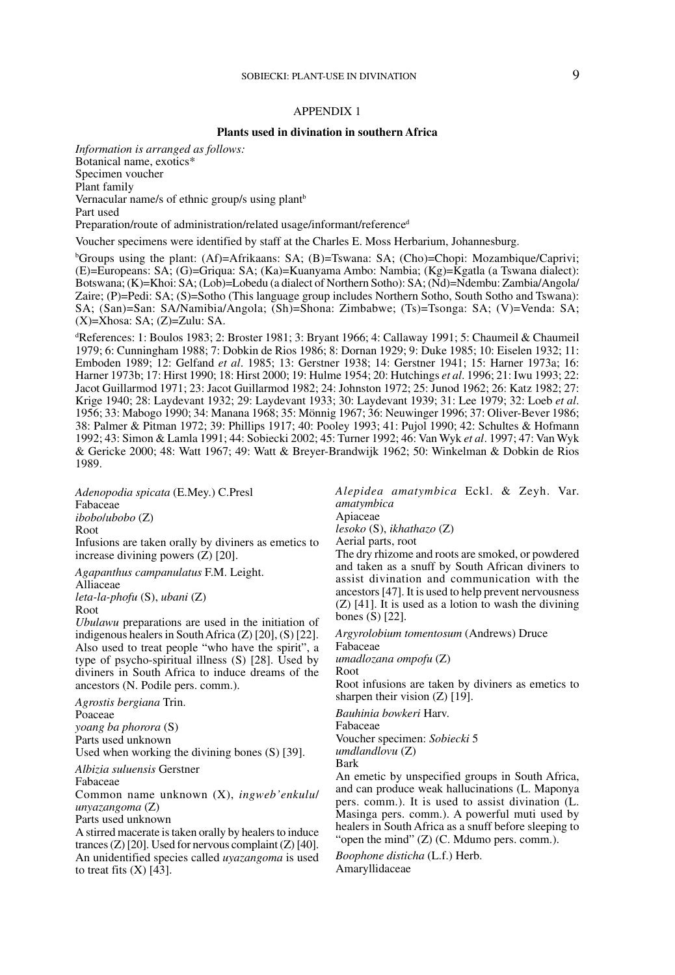### APPENDIX 1

#### **Plants used in divination in southern Africa**

*Information is arranged as follows:* Botanical name, exotics\* Specimen voucher Plant family Vernacular name/s of ethnic group/s using plant<sup>b</sup> Part used

Preparation/route of administration/related usage/informant/reference<sup>d</sup>

Voucher specimens were identified by staff at the Charles E. Moss Herbarium, Johannesburg.

<sup>b</sup>Groups using the plant: (Af)=Afrikaans: SA; (B)=Tswana: SA; (Cho)=Chopi: Mozambique/Caprivi; (E)=Europeans: SA; (G)=Griqua: SA; (Ka)=Kuanyama Ambo: Nambia; (Kg)=Kgatla (a Tswana dialect): Botswana; (K)=Khoi: SA; (Lob)=Lobedu (a dialect of Northern Sotho): SA; (Nd)=Ndembu: Zambia/Angola/ Zaire; (P)=Pedi: SA; (S)=Sotho (This language group includes Northern Sotho, South Sotho and Tswana): SA; (San)=San: SA/Namibia/Angola; (Sh)=Shona: Zimbabwe; (Ts)=Tsonga: SA; (V)=Venda: SA;  $(X)=X$ hosa: SA;  $(Z)=Z$ ulu: SA.

d References: 1: Boulos 1983; 2: Broster 1981; 3: Bryant 1966; 4: Callaway 1991; 5: Chaumeil & Chaumeil 1979; 6: Cunningham 1988; 7: Dobkin de Rios 1986; 8: Dornan 1929; 9: Duke 1985; 10: Eiselen 1932; 11: Emboden 1989; 12: Gelfand *et al*. 1985; 13: Gerstner 1938; 14: Gerstner 1941; 15: Harner 1973a; 16: Harner 1973b; 17: Hirst 1990; 18: Hirst 2000; 19: Hulme 1954; 20: Hutchings *et al*. 1996; 21: Iwu 1993; 22: Jacot Guillarmod 1971; 23: Jacot Guillarmod 1982; 24: Johnston 1972; 25: Junod 1962; 26: Katz 1982; 27: Krige 1940; 28: Laydevant 1932; 29: Laydevant 1933; 30: Laydevant 1939; 31: Lee 1979; 32: Loeb *et al*. 1956; 33: Mabogo 1990; 34: Manana 1968; 35: Mönnig 1967; 36: Neuwinger 1996; 37: Oliver-Bever 1986; 38: Palmer & Pitman 1972; 39: Phillips 1917; 40: Pooley 1993; 41: Pujol 1990; 42: Schultes & Hofmann 1992; 43: Simon & Lamla 1991; 44: Sobiecki 2002; 45: Turner 1992; 46: Van Wyk *et al*. 1997; 47: Van Wyk & Gericke 2000; 48: Watt 1967; 49: Watt & Breyer-Brandwijk 1962; 50: Winkelman & Dobkin de Rios 1989.

*Adenopodia spicata* (E.Mey.) C.Presl Fabaceae

*ibobo*/*ubobo* (Z)

Root

Infusions are taken orally by diviners as emetics to increase divining powers (Z) [20].

*Agapanthus campanulatus* F.M. Leight.

Alliaceae

*leta-la-phofu* (S), *ubani* (Z)

Root

*Ubulawu* preparations are used in the initiation of indigenous healers in South Africa (Z) [20], (S) [22]. Also used to treat people "who have the spirit", a type of psycho-spiritual illness  $(S)$  [28]. Used by diviners in South Africa to induce dreams of the ancestors (N. Podile pers. comm.).

*Agrostis bergiana* Trin. Poaceae *yoang ba phorora* (S) Parts used unknown

Used when working the divining bones (S) [39].

*Albizia suluensis* Gerstner

Fabaceae

Common name unknown (X), *ingweb'enkulu*/ *unyazangoma* (Z)

Parts used unknown

A stirred macerate is taken orally by healers to induce trances (Z) [20]. Used for nervous complaint (Z) [40]. An unidentified species called *uyazangoma* is used to treat fits  $(X)$  [43].

*Alepidea amatymbica* Eckl. & Zeyh. Var. *amatymbica* Apiaceae

*lesoko* (S), *ikhathazo* (Z)

Aerial parts, root

The dry rhizome and roots are smoked, or powdered and taken as a snuff by South African diviners to assist divination and communication with the ancestors [47]. It is used to help prevent nervousness (Z) [41]. It is used as a lotion to wash the divining bones (S) [22].

*Argyrolobium tomentosum* (Andrews) Druce Fabaceae

*umadlozana ompofu* (Z)

Root

Root infusions are taken by diviners as emetics to sharpen their vision (Z) [19].

*Bauhinia bowkeri* Harv.

Fabaceae Voucher specimen: *Sobiecki* 5

*umdlandlovu* (Z)

Bark

An emetic by unspecified groups in South Africa, and can produce weak hallucinations (L. Maponya pers. comm.). It is used to assist divination (L. Masinga pers. comm.). A powerful muti used by healers in South Africa as a snuff before sleeping to "open the mind" (Z) (C. Mdumo pers. comm.).

*Boophone disticha* (L.f.) Herb. Amaryllidaceae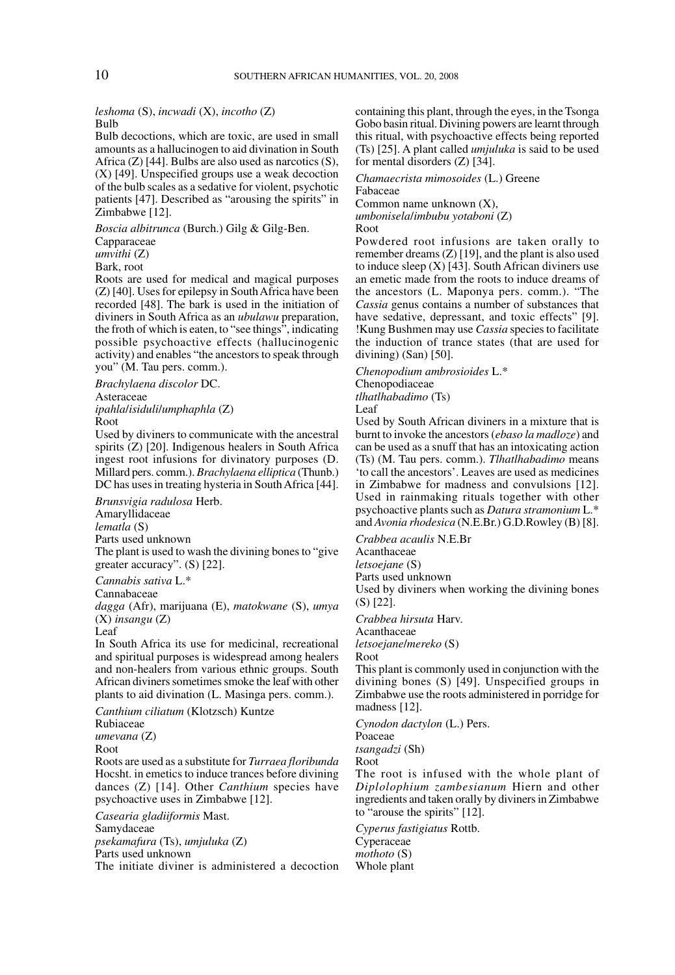#### *leshoma* (S), *incwadi* (X), *incotho* (Z) Bulb

Bulb decoctions, which are toxic, are used in small amounts as a hallucinogen to aid divination in South Africa  $(Z)$  [44]. Bulbs are also used as narcotics  $(S)$ , (X) [49]. Unspecified groups use a weak decoction of the bulb scales as a sedative for violent, psychotic patients [47]. Described as "arousing the spirits" in Zimbabwe [12].

*Boscia albitrunca* (Burch.) Gilg & Gilg-Ben.

Capparaceae

*umvithi* (Z)

Bark, root

Roots are used for medical and magical purposes (Z) [40]. Uses for epilepsy in South Africa have been recorded [48]. The bark is used in the initiation of diviners in South Africa as an *ubulawu* preparation, the froth of which is eaten, to "see things", indicating possible psychoactive effects (hallucinogenic activity) and enables "the ancestors to speak through you" (M. Tau pers. comm.).

*Brachylaena discolor* DC. Asteraceae *ipahla*/*isiduli*/*umphaphla* (Z) Root

Used by diviners to communicate with the ancestral spirits (Z) [20]. Indigenous healers in South Africa ingest root infusions for divinatory purposes (D. Millard pers. comm.). *Brachylaena elliptica* (Thunb.) DC has uses in treating hysteria in South Africa [44].

*Brunsvigia radulosa* Herb.

Amaryllidaceae *lematla* (S)

Parts used unknown

The plant is used to wash the divining bones to "give greater accuracy". (S) [22].

*Cannabis sativa* L.\*

Cannabaceae

*dagga* (Afr), marijuana (E), *matokwane* (S), *umya* (X) *insangu* (Z)

Leaf

In South Africa its use for medicinal, recreational and spiritual purposes is widespread among healers and non-healers from various ethnic groups. South African diviners sometimes smoke the leaf with other plants to aid divination (L. Masinga pers. comm.).

*Canthium ciliatum* (Klotzsch) Kuntze Rubiaceae *umevana* (Z) Root Roots are used as a substitute for *Turraea floribunda* Hocsht. in emetics to induce trances before divining dances (Z) [14]. Other *Canthium* species have psychoactive uses in Zimbabwe [12].

*Casearia gladiiformis* Mast. Samydaceae *psekamafura* (Ts), *umjuluka* (Z) Parts used unknown

The initiate diviner is administered a decoction

containing this plant, through the eyes, in the Tsonga Gobo basin ritual. Divining powers are learnt through this ritual, with psychoactive effects being reported (Ts) [25]. A plant called *umjuluka* is said to be used for mental disorders (Z) [34].

*Chamaecrista mimosoides* (L.) Greene Fabaceae Common name unknown (X),

*umbonisela*/*imbubu yotaboni* (Z)

Root

Powdered root infusions are taken orally to remember dreams  $(Z)$  [19], and the plant is also used to induce sleep  $(X)$  [43]. South African diviners use an emetic made from the roots to induce dreams of the ancestors (L. Maponya pers. comm.). "The *Cassia* genus contains a number of substances that have sedative, depressant, and toxic effects" [9]. !Kung Bushmen may use *Cassia* species to facilitate the induction of trance states (that are used for divining) (San) [50].

*Chenopodium ambrosioides* L.\*

Chenopodiaceae *tlhatlhabadimo* (Ts)

Leaf

Used by South African diviners in a mixture that is burnt to invoke the ancestors (*ebaso la madloze*) and can be used as a snuff that has an intoxicating action (Ts) (M. Tau pers. comm.). *Tlhatlhabadimo* means 'to call the ancestors'. Leaves are used as medicines in Zimbabwe for madness and convulsions [12]. Used in rainmaking rituals together with other psychoactive plants such as *Datura stramonium* L.\* and *Avonia rhodesica* (N.E.Br.) G.D.Rowley (B) [8].

*Crabbea acaulis* N.E.Br

Acanthaceae

*letsoejane* (S)

Parts used unknown

Used by diviners when working the divining bones (S) [22].

*Crabbea hirsuta* Harv.

Acanthaceae

*letsoejane*/*mereko* (S)

Root

This plant is commonly used in conjunction with the divining bones (S) [49]. Unspecified groups in Zimbabwe use the roots administered in porridge for madness [12].

*Cynodon dactylon* (L.) Pers.

Poaceae

*tsangadzi* (Sh)

Root

The root is infused with the whole plant of *Diplolophium zambesianum* Hiern and other ingredients and taken orally by diviners in Zimbabwe to "arouse the spirits" [12].

*Cyperus fastigiatus* Rottb. Cyperaceae *mothoto* (S) Whole plant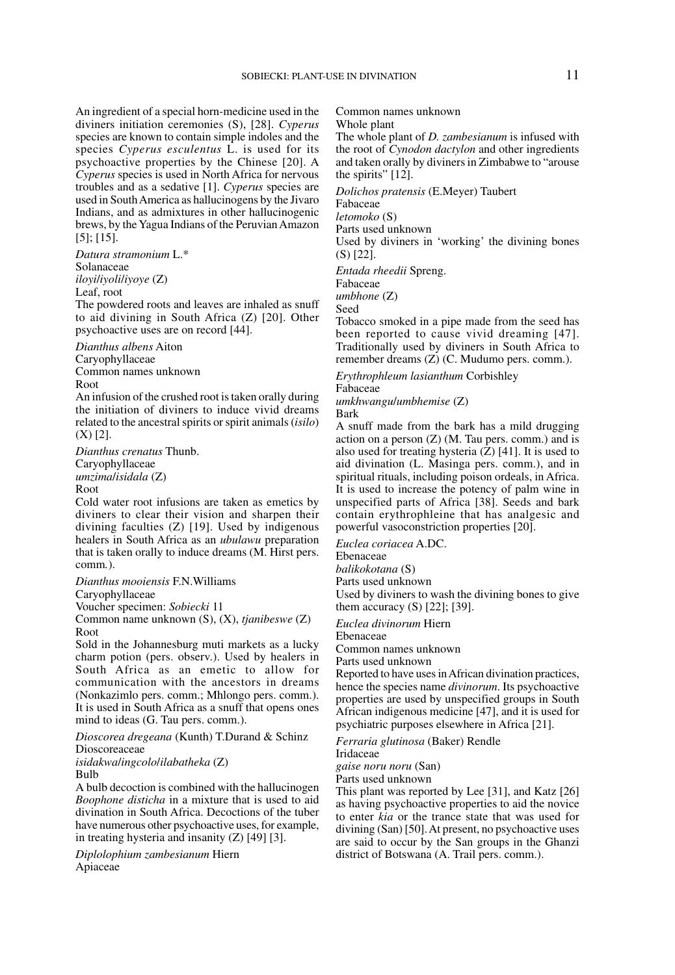An ingredient of a special horn-medicine used in the diviners initiation ceremonies (S), [28]. *Cyperus* species are known to contain simple indoles and the species *Cyperus esculentus* L. is used for its psychoactive properties by the Chinese [20]. A *Cyperus* species is used in North Africa for nervous troubles and as a sedative [1]. *Cyperus* species are used in South America as hallucinogens by the Jivaro Indians, and as admixtures in other hallucinogenic brews, by the Yagua Indians of the Peruvian Amazon [5]; [15].

*Datura stramonium* L.\* Solanaceae *iloyi*/*iyoli*/*iyoye* (Z) Leaf, root

The powdered roots and leaves are inhaled as snuff to aid divining in South Africa (Z) [20]. Other psychoactive uses are on record [44].

*Dianthus albens* Aiton

Caryophyllaceae

Common names unknown

Root

An infusion of the crushed root is taken orally during the initiation of diviners to induce vivid dreams related to the ancestral spirits or spirit animals (*isilo*) (X) [2].

*Dianthus crenatus* Thunb. Caryophyllaceae

*umzima*/*isidala* (Z) Root

Cold water root infusions are taken as emetics by diviners to clear their vision and sharpen their divining faculties (Z) [19]. Used by indigenous healers in South Africa as an *ubulawu* preparation that is taken orally to induce dreams (M. Hirst pers. comm*.*).

*Dianthus mooiensis* F.N.Williams

Caryophyllaceae

Voucher specimen: *Sobiecki* 11

Common name unknown (S), (X), *tjanibeswe* (Z) Root

Sold in the Johannesburg muti markets as a lucky charm potion (pers. observ.). Used by healers in South Africa as an emetic to allow for communication with the ancestors in dreams (Nonkazimlo pers. comm.; Mhlongo pers. comm.). It is used in South Africa as a snuff that opens ones mind to ideas (G. Tau pers. comm.).

*Dioscorea dregeana* (Kunth) T.Durand & Schinz Dioscoreaceae

*isidakwa*/*ingcolo*/*ilabatheka* (Z)

Bulb

A bulb decoction is combined with the hallucinogen *Boophone disticha* in a mixture that is used to aid divination in South Africa. Decoctions of the tuber have numerous other psychoactive uses, for example, in treating hysteria and insanity (Z) [49] [3].

*Diplolophium zambesianum* Hiern Apiaceae

Common names unknown

Whole plant

The whole plant of *D. zambesianum* is infused with the root of *Cynodon dactylon* and other ingredients and taken orally by diviners in Zimbabwe to "arouse the spirits" [12].

*Dolichos pratensis* (E.Meyer) Taubert

Fabaceae

*letomoko* (S)

Parts used unknown

Used by diviners in 'working' the divining bones (S) [22].

*Entada rheedii* Spreng.

Fabaceae *umbhone* (Z)

Seed

Tobacco smoked in a pipe made from the seed has been reported to cause vivid dreaming [47]. Traditionally used by diviners in South Africa to remember dreams (Z) (C. Mudumo pers. comm.).

*Erythrophleum lasianthum* Corbishley Fabaceae

*umkhwangu*/*umbhemise* (Z) Bark

A snuff made from the bark has a mild drugging action on a person  $(Z)$  (M. Tau pers. comm.) and is also used for treating hysteria  $(Z)$  [41]. It is used to aid divination (L. Masinga pers. comm.), and in spiritual rituals, including poison ordeals, in Africa. It is used to increase the potency of palm wine in unspecified parts of Africa [38]. Seeds and bark contain erythrophleine that has analgesic and powerful vasoconstriction properties [20].

*Euclea coriacea* A.DC.

Ebenaceae

*balikokotana* (S)

Parts used unknown

Used by diviners to wash the divining bones to give them accuracy (S) [22]; [39].

*Euclea divinorum* Hiern

Ebenaceae

Common names unknown

Parts used unknown

Reported to have uses in African divination practices, hence the species name *divinorum*. Its psychoactive properties are used by unspecified groups in South African indigenous medicine [47], and it is used for psychiatric purposes elsewhere in Africa [21].

*Ferraria glutinosa* (Baker) Rendle

Iridaceae

*gaise noru noru* (San)

Parts used unknown

This plant was reported by Lee [31], and Katz [26] as having psychoactive properties to aid the novice to enter *kia* or the trance state that was used for divining (San) [50]. At present, no psychoactive uses are said to occur by the San groups in the Ghanzi district of Botswana (A. Trail pers. comm.).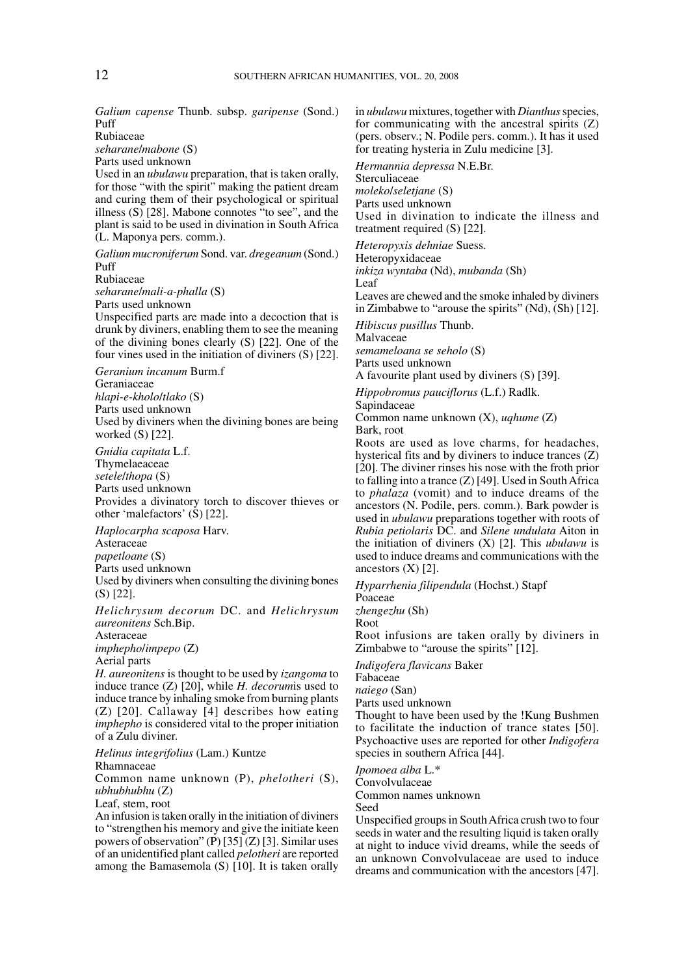*Galium capense* Thunb. subsp. *garipense* (Sond.) Puff

Rubiaceae

*seharane*/*mabone* (S)

Parts used unknown

Used in an *ubulawu* preparation, that is taken orally, for those "with the spirit" making the patient dream and curing them of their psychological or spiritual illness (S) [28]. Mabone connotes "to see", and the plant is said to be used in divination in South Africa (L. Maponya pers. comm.).

*Galium mucroniferum* Sond. var. *dregeanum* (Sond.) Puff

Rubiaceae

*seharane*/*mali-a-phalla* (S)

Parts used unknown

Unspecified parts are made into a decoction that is drunk by diviners, enabling them to see the meaning of the divining bones clearly (S) [22]. One of the four vines used in the initiation of diviners (S) [22].

*Geranium incanum* Burm.f

Geraniaceae *hlapi-e-kholo*/*tlako* (S) Parts used unknown Used by diviners when the divining bones are being worked (S) [22].

*Gnidia capitata* L.f.

Thymelaeaceae

*setele*/*thopa* (S)

Parts used unknown

Provides a divinatory torch to discover thieves or other 'malefactors' (S) [22].

*Haplocarpha scaposa* Harv.

**Asteraceae** 

*papetloane* (S)

Parts used unknown

Used by diviners when consulting the divining bones (S) [22].

*Helichrysum decorum* DC. and *Helichrysum aureonitens* Sch.Bip.

Asteraceae

*imphepho*/*impepo* (Z)

Aerial parts

*H. aureonitens* is thought to be used by *izangoma* to induce trance (Z) [20], while *H. decorum*is used to induce trance by inhaling smoke from burning plants (Z) [20]. Callaway [4] describes how eating *imphepho* is considered vital to the proper initiation of a Zulu diviner.

*Helinus integrifolius* (Lam.) Kuntze

Rhamnaceae

Common name unknown (P), *phelotheri* (S), *ubhubhubhu* (Z)

Leaf, stem, root

An infusion is taken orally in the initiation of diviners to "strengthen his memory and give the initiate keen powers of observation" (P) [35] (Z) [3]. Similar uses of an unidentified plant called *pelotheri* are reported among the Bamasemola (S) [10]. It is taken orally in *ubulawu* mixtures, together with *Dianthus* species, for communicating with the ancestral spirits (Z) (pers. observ.; N. Podile pers. comm.). It has it used for treating hysteria in Zulu medicine [3].

*Hermannia depressa* N.E.Br.

Sterculiaceae

*moleko*/*seletjane* (S)

Parts used unknown

Used in divination to indicate the illness and treatment required (S) [22].

*Heteropyxis dehniae* Suess.

Heteropyxidaceae

*inkiza wyntaba* (Nd), *mubanda* (Sh)

Leaf

Leaves are chewed and the smoke inhaled by diviners in Zimbabwe to "arouse the spirits" (Nd), (Sh) [12].

*Hibiscus pusillus* Thunb.

Malvaceae

*semameloana se seholo* (S)

Parts used unknown

A favourite plant used by diviners (S) [39].

*Hippobromus pauciflorus* (L.f.) Radlk.

Sapindaceae

Common name unknown (X), *uqhume* (Z) Bark, root

Roots are used as love charms, for headaches, hysterical fits and by diviners to induce trances (Z) [20]. The diviner rinses his nose with the froth prior to falling into a trance (Z) [49]. Used in South Africa to *phalaza* (vomit) and to induce dreams of the ancestors (N. Podile, pers. comm.). Bark powder is used in *ubulawu* preparations together with roots of *Rubia petiolaris* DC. and *Silene undulata* Aiton in the initiation of diviners (X) [2]. This *ubulawu* is used to induce dreams and communications with the ancestors  $(X)$  [2].

*Hyparrhenia filipendula* (Hochst.) Stapf

Poaceae

*zhengezhu* (Sh)

Root

Root infusions are taken orally by diviners in Zimbabwe to "arouse the spirits" [12].

*Indigofera flavicans* Baker

Fabaceae

*naiego* (San)

Parts used unknown

Thought to have been used by the !Kung Bushmen to facilitate the induction of trance states [50]. Psychoactive uses are reported for other *Indigofera* species in southern Africa [44].

*Ipomoea alba* L.\*

Convolvulaceae

Common names unknown

Seed

Unspecified groups in South Africa crush two to four seeds in water and the resulting liquid is taken orally at night to induce vivid dreams, while the seeds of an unknown Convolvulaceae are used to induce dreams and communication with the ancestors [47].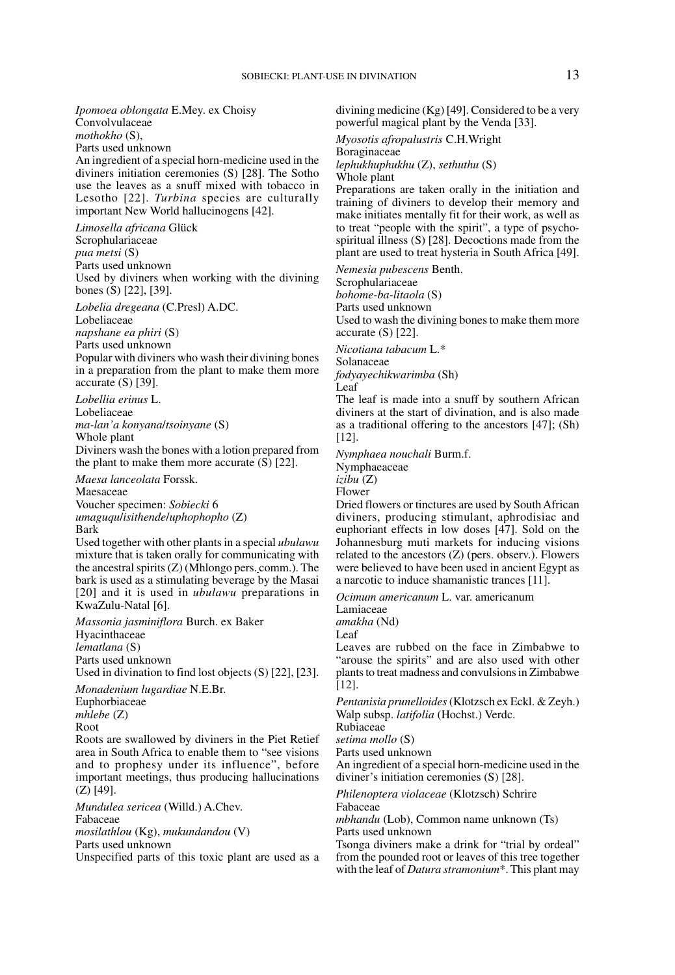*Ipomoea oblongata* E.Mey. ex Choisy Convolvulaceae *mothokho* (S), Parts used unknown An ingredient of a special horn-medicine used in the diviners initiation ceremonies (S) [28]. The Sotho use the leaves as a snuff mixed with tobacco in Lesotho [22]. *Turbina* species are culturally important New World hallucinogens [42].

*Limosella africana* Glück Scrophulariaceae *pua metsi* (S) Parts used unknown Used by diviners when working with the divining bones (S) [22], [39].

*Lobelia dregeana* (C.Presl) A.DC. Lobeliaceae

*napshane ea phiri* (S)

Parts used unknown

Popular with diviners who wash their divining bones in a preparation from the plant to make them more accurate (S) [39].

*Lobellia erinus* L. Lobeliaceae *ma-lan'a konyana*/*tsoinyane* (S) Whole plant Diviners wash the bones with a lotion prepared from

the plant to make them more accurate (S) [22]. *Maesa lanceolata* Forssk.

Maesaceae Voucher specimen: *Sobiecki* 6 *umaguqu*/*isithende*/*uphophopho* (Z) Bark

Used together with other plants in a special *ubulawu* mixture that is taken orally for communicating with the ancestral spirits (Z) (Mhlongo pers. comm.). The bark is used as a stimulating beverage by the Masai [20] and it is used in *ubulawu* preparations in KwaZulu-Natal [6].

*Massonia jasminiflora* Burch. ex Baker Hyacinthaceae *lematlana* (S) Parts used unknown Used in divination to find lost objects (S) [22], [23].

*Monadenium lugardiae* N.E.Br. Euphorbiaceae

*mhlebe* (Z) Root

Roots are swallowed by diviners in the Piet Retief area in South Africa to enable them to "see visions and to prophesy under its influence", before important meetings, thus producing hallucinations (Z) [49].

*Mundulea sericea* (Willd.) A.Chev. Fabaceae *mosilathlou* (Kg), *mukundandou* (V) Parts used unknown

Unspecified parts of this toxic plant are used as a

divining medicine (Kg) [49]. Considered to be a very powerful magical plant by the Venda [33].

*Myosotis afropalustris* C.H.Wright

Boraginaceae

*lephukhuphukhu* (Z), *sethuthu* (S)

Whole plant

Preparations are taken orally in the initiation and training of diviners to develop their memory and make initiates mentally fit for their work, as well as to treat "people with the spirit", a type of psychospiritual illness (S) [28]. Decoctions made from the plant are used to treat hysteria in South Africa [49].

*Nemesia pubescens* Benth.

Scrophulariaceae *bohome-ba-litaola* (S) Parts used unknown Used to wash the divining bones to make them more accurate (S) [22].

*Nicotiana tabacum* L.\* Solanaceae

*fodyayechikwarimba* (Sh)

Leaf

The leaf is made into a snuff by southern African diviners at the start of divination, and is also made as a traditional offering to the ancestors [47]; (Sh) [12].

*Nymphaea nouchali* Burm.f.

Nymphaeaceae

*izibu* (Z)

Flower

Dried flowers or tinctures are used by South African diviners, producing stimulant, aphrodisiac and euphoriant effects in low doses [47]. Sold on the Johannesburg muti markets for inducing visions related to the ancestors (Z) (pers. observ.). Flowers were believed to have been used in ancient Egypt as a narcotic to induce shamanistic trances [11].

*Ocimum americanum* L. var. americanum

Lamiaceae *amakha* (Nd)

Leaf

Leaves are rubbed on the face in Zimbabwe to "arouse the spirits" and are also used with other plants to treat madness and convulsions in Zimbabwe [12].

*Pentanisia prunelloides* (Klotzsch ex Eckl. & Zeyh.) Walp subsp. *latifolia* (Hochst.) Verdc. Rubiaceae

*setima mollo* (S)

Parts used unknown

An ingredient of a special horn-medicine used in the diviner's initiation ceremonies (S) [28].

*Philenoptera violaceae* (Klotzsch) Schrire Fabaceae

*mbhandu* (Lob), Common name unknown (Ts)

Parts used unknown

Tsonga diviners make a drink for "trial by ordeal" from the pounded root or leaves of this tree together with the leaf of *Datura stramonium*\*. This plant may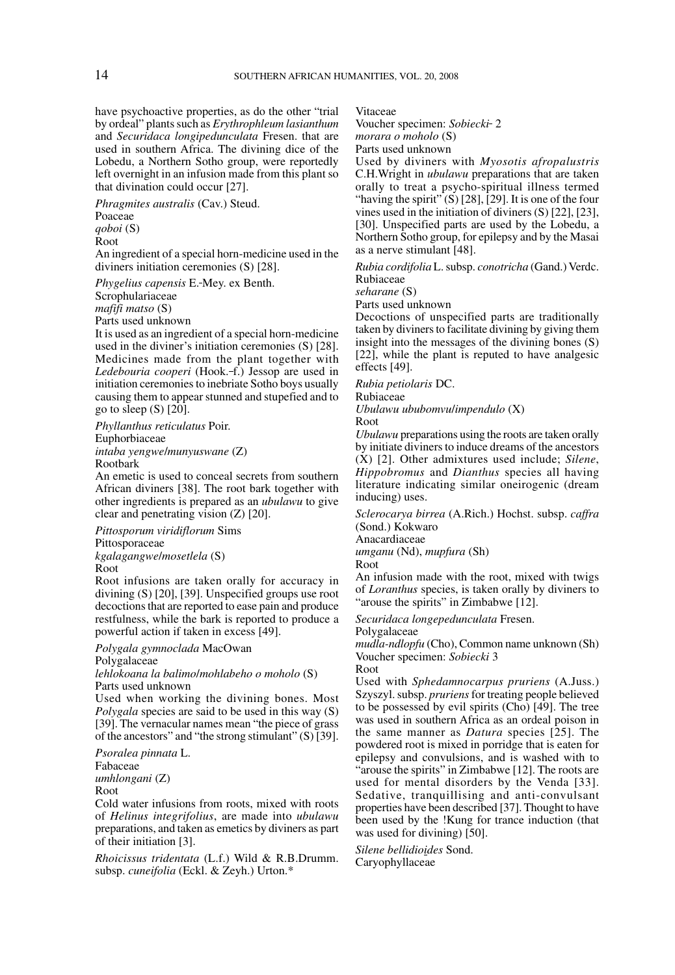have psychoactive properties, as do the other "trial by ordeal" plants such as *Erythrophleum lasianthum* and *Securidaca longipedunculata* Fresen. that are used in southern Africa. The divining dice of the Lobedu, a Northern Sotho group, were reportedly left overnight in an infusion made from this plant so that divination could occur [27].

*Phragmites australis* (Cav.) Steud.

Poaceae

*qoboi* (S)

Root

An ingredient of a special horn-medicine used in the diviners initiation ceremonies (S) [28].

*Phygelius capensis* E. Mey. ex Benth.

**Scrophulariaceae** 

*mafifi matso* (S)

Parts used unknown

It is used as an ingredient of a special horn-medicine used in the diviner's initiation ceremonies (S) [28]. Medicines made from the plant together with *Ledebouria cooperi* (Hook. f.) Jessop are used in initiation ceremonies to inebriate Sotho boys usually causing them to appear stunned and stupefied and to go to sleep  $(S)$   $[20]$ .

*Phyllanthus reticulatus* Poir. Euphorbiaceae *intaba yengwe*/*munyuswane* (Z) Rootbark

An emetic is used to conceal secrets from southern African diviners [38]. The root bark together with other ingredients is prepared as an *ubulawu* to give clear and penetrating vision (Z) [20].

*Pittosporum viridiflorum* Sims

Pittosporaceae

*kgalagangwe*/*mosetlela* (S)

Root

Root infusions are taken orally for accuracy in divining (S) [20], [39]. Unspecified groups use root decoctions that are reported to ease pain and produce restfulness, while the bark is reported to produce a powerful action if taken in excess [49].

*Polygala gymnoclada* MacOwan

Polygalaceae

*lehlokoana la balimo*/*mohlabeho o moholo* (S) Parts used unknown

Used when working the divining bones. Most *Polygala* species are said to be used in this way (S) [39]. The vernacular names mean "the piece of grass of the ancestors" and "the strong stimulant" (S) [39].

*Psoralea pinnata* L. Fabaceae *umhlongani* (Z) Root

Cold water infusions from roots, mixed with roots of *Helinus integrifolius*, are made into *ubulawu* preparations, and taken as emetics by diviners as part of their initiation [3].

*Rhoicissus tridentata* (L.f.) Wild & R.B.Drumm. subsp. *cuneifolia* (Eckl. & Zeyh.) Urton.\*

Vitaceae

Voucher specimen: *Sobiecki* 2

*morara o moholo* (S)

Parts used unknown

Used by diviners with *Myosotis afropalustris* C.H.Wright in *ubulawu* preparations that are taken orally to treat a psycho-spiritual illness termed "having the spirit"  $(S)$  [28], [29]. It is one of the four vines used in the initiation of diviners (S) [22], [23], [30]. Unspecified parts are used by the Lobedu, a Northern Sotho group, for epilepsy and by the Masai as a nerve stimulant [48].

*Rubia cordifolia* L. subsp. *conotricha* (Gand.) Verdc. Rubiaceae

*seharane* (S)

Parts used unknown

Decoctions of unspecified parts are traditionally taken by diviners to facilitate divining by giving them insight into the messages of the divining bones (S) [22], while the plant is reputed to have analgesic effects [49].

*Rubia petiolaris* DC.

Rubiaceae

*Ubulawu ububomvu*/*impendulo* (X)

Root

*Ubulawu* preparations using the roots are taken orally by initiate diviners to induce dreams of the ancestors (X) [2]. Other admixtures used include; *Silene*, *Hippobromus* and *Dianthus* species all having literature indicating similar oneirogenic (dream inducing) uses.

*Sclerocarya birrea* (A.Rich.) Hochst. subsp. *caffra* (Sond.) Kokwaro

Anacardiaceae

*umganu* (Nd), *mupfura* (Sh)

Root

An infusion made with the root, mixed with twigs of *Loranthus* species, is taken orally by diviners to "arouse the spirits" in Zimbabwe [12].

*Securidaca longepedunculata* Fresen.

Polygalaceae

*mudla-ndlopfu* (Cho), Common name unknown (Sh) Voucher specimen: *Sobiecki* 3

Root

Used with *Sphedamnocarpus pruriens* (A.Juss.) Szyszyl. subsp. *pruriens* for treating people believed to be possessed by evil spirits (Cho) [49]. The tree was used in southern Africa as an ordeal poison in the same manner as *Datura* species [25]. The powdered root is mixed in porridge that is eaten for epilepsy and convulsions, and is washed with to "arouse the spirits" in Zimbabwe [12]. The roots are used for mental disorders by the Venda [33]. Sedative, tranquillising and anti-convulsant properties have been described [37]. Thought to have been used by the !Kung for trance induction (that was used for divining) [50].

*Silene bellidioides* Sond. Caryophyllaceae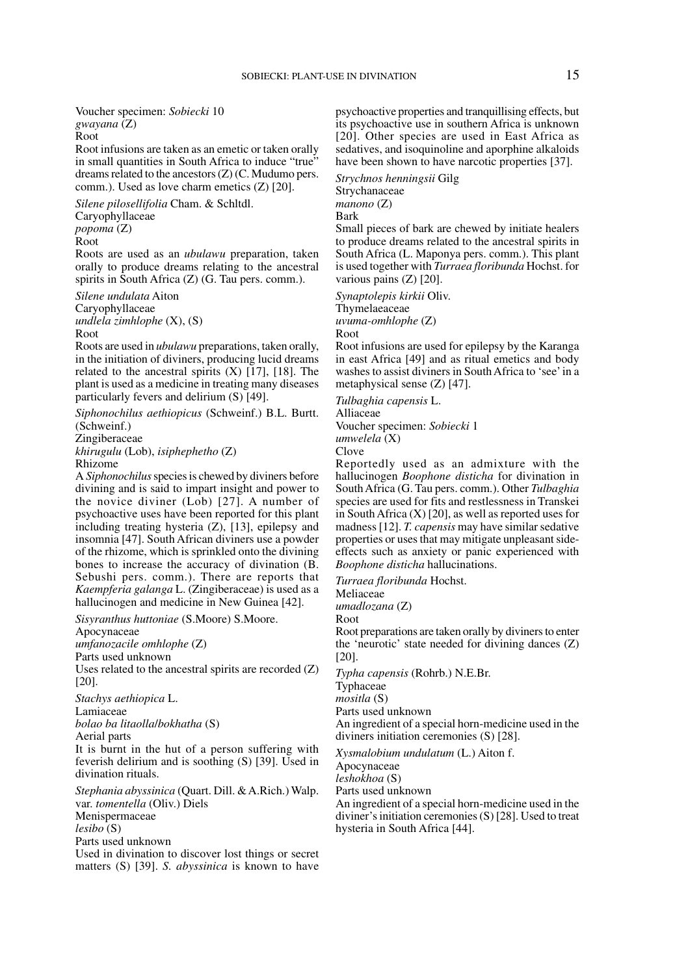Voucher specimen: *Sobiecki* 10 *gwayana* (Z)

Root

Root infusions are taken as an emetic or taken orally in small quantities in South Africa to induce "true" dreams related to the ancestors (Z) (C. Mudumo pers. comm.). Used as love charm emetics (Z) [20].

*Silene pilosellifolia* Cham. & Schltdl. Caryophyllaceae

*popoma* (Z)

Root

Roots are used as an *ubulawu* preparation, taken orally to produce dreams relating to the ancestral spirits in South Africa (Z) (G. Tau pers. comm.).

*Silene undulata* Aiton Caryophyllaceae *undlela zimhlophe* (X), (S) Root

Roots are used in *ubulawu* preparations, taken orally, in the initiation of diviners, producing lucid dreams related to the ancestral spirits  $(X)$  [17], [18]. The plant is used as a medicine in treating many diseases particularly fevers and delirium (S) [49].

*Siphonochilus aethiopicus* (Schweinf.) B.L. Burtt. (Schweinf.)

Zingiberaceae

*khirugulu* (Lob), *isiphephetho* (Z) Rhizome

A *Siphonochilus* species is chewed by diviners before divining and is said to impart insight and power to the novice diviner (Lob) [27]. A number of psychoactive uses have been reported for this plant including treating hysteria (Z), [13], epilepsy and insomnia [47]. South African diviners use a powder of the rhizome, which is sprinkled onto the divining bones to increase the accuracy of divination (B. Sebushi pers. comm.). There are reports that *Kaempferia galanga* L. (Zingiberaceae) is used as a hallucinogen and medicine in New Guinea [42].

*Sisyranthus huttoniae* (S.Moore) S.Moore.

Apocynaceae

*umfanozacile omhlophe* (Z) Parts used unknown

Uses related to the ancestral spirits are recorded (Z) [20].

*Stachys aethiopica* L.

Lamiaceae

*bolao ba litaolla*/*bokhatha* (S)

Aerial parts

It is burnt in the hut of a person suffering with feverish delirium and is soothing (S) [39]. Used in divination rituals.

*Stephania abyssinica* (Quart. Dill. & A.Rich.) Walp. var. *tomentella* (Oliv.) Diels Menispermaceae *lesibo* (S) Parts used unknown Used in divination to discover lost things or secret

matters (S) [39]. *S. abyssinica* is known to have

psychoactive properties and tranquillising effects, but its psychoactive use in southern Africa is unknown [20]. Other species are used in East Africa as sedatives, and isoquinoline and aporphine alkaloids have been shown to have narcotic properties [37].

*Strychnos henningsii* Gilg Strychanaceae *manono* (Z) Bark

Small pieces of bark are chewed by initiate healers to produce dreams related to the ancestral spirits in South Africa (L. Maponya pers. comm.). This plant is used together with *Turraea floribunda* Hochst. for various pains (Z) [20].

*Synaptolepis kirkii* Oliv. **Thymelaeaceae** 

*uvuma-omhlophe* (Z)

Root

Root infusions are used for epilepsy by the Karanga in east Africa [49] and as ritual emetics and body washes to assist diviners in South Africa to 'see' in a metaphysical sense (Z) [47].

*Tulbaghia capensis* L. Alliaceae Voucher specimen: *Sobiecki* 1 *umwelela* (X)

Clove

Reportedly used as an admixture with the hallucinogen *Boophone disticha* for divination in South Africa (G. Tau pers. comm.). Other *Tulbaghia* species are used for fits and restlessness in Transkei in South Africa (X) [20], as well as reported uses for madness [12]. *T. capensis* may have similar sedative properties or uses that may mitigate unpleasant sideeffects such as anxiety or panic experienced with *Boophone disticha* hallucinations.

*Turraea floribunda* Hochst.

Meliaceae *umadlozana* (Z)

Root

Root preparations are taken orally by diviners to enter the 'neurotic' state needed for divining dances (Z) [20].

*Typha capensis* (Rohrb.) N.E.Br.

Typhaceae

*mositla* (S)

Parts used unknown

An ingredient of a special horn-medicine used in the diviners initiation ceremonies (S) [28].

*Xysmalobium undulatum* (L.) Aiton f. Apocynaceae *leshokhoa* (S)

Parts used unknown

An ingredient of a special horn-medicine used in the diviner's initiation ceremonies (S) [28]. Used to treat hysteria in South Africa [44].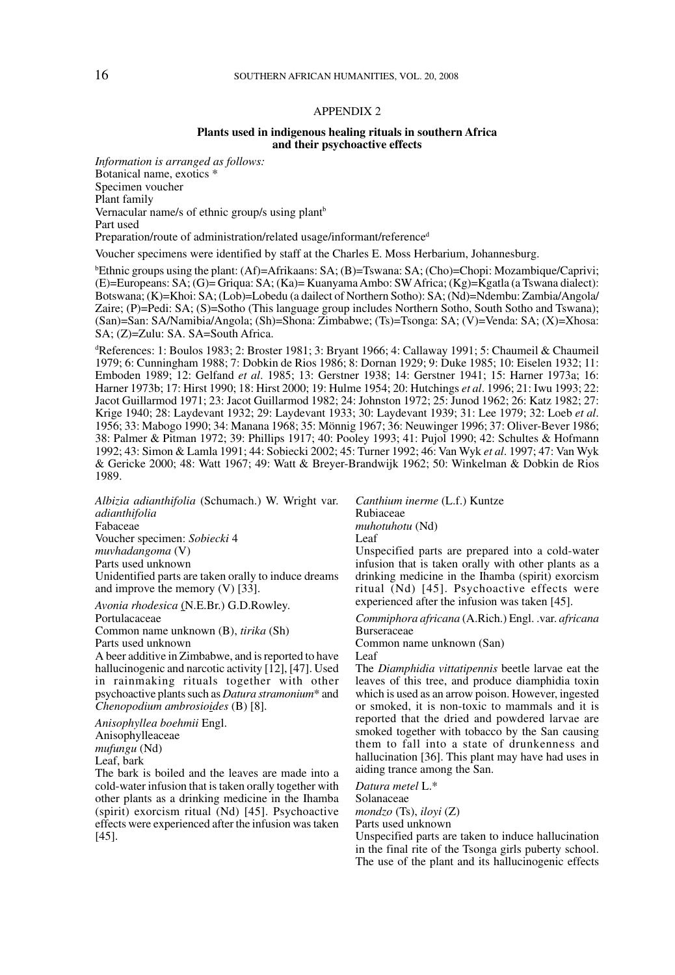### 16 SOUTHERN AFRICAN HUMANITIES, VOL. 20, 2008

### APPENDIX 2

#### **Plants used in indigenous healing rituals in southern Africa and their psychoactive effects**

*Information is arranged as follows:* Botanical name, exotics \* Specimen voucher Plant family Vernacular name/s of ethnic group/s using plant<sup>b</sup> Part used

Preparation/route of administration/related usage/informant/reference<sup>d</sup>

Voucher specimens were identified by staff at the Charles E. Moss Herbarium, Johannesburg.

b Ethnic groups using the plant: (Af)=Afrikaans: SA; (B)=Tswana: SA; (Cho)=Chopi: Mozambique/Caprivi; (E)=Europeans: SA; (G)= Griqua: SA; (Ka)= Kuanyama Ambo: SW Africa; (Kg)=Kgatla (a Tswana dialect): Botswana; (K)=Khoi: SA; (Lob)=Lobedu (a dailect of Northern Sotho): SA; (Nd)=Ndembu: Zambia/Angola/ Zaire; (P)=Pedi: SA; (S)=Sotho (This language group includes Northern Sotho, South Sotho and Tswana); (San)=San: SA/Namibia/Angola; (Sh)=Shona: Zimbabwe; (Ts)=Tsonga: SA; (V)=Venda: SA; (X)=Xhosa: SA; (Z)=Zulu: SA. SA=South Africa.

d References: 1: Boulos 1983; 2: Broster 1981; 3: Bryant 1966; 4: Callaway 1991; 5: Chaumeil & Chaumeil 1979; 6: Cunningham 1988; 7: Dobkin de Rios 1986; 8: Dornan 1929; 9: Duke 1985; 10: Eiselen 1932; 11: Emboden 1989; 12: Gelfand *et al*. 1985; 13: Gerstner 1938; 14: Gerstner 1941; 15: Harner 1973a; 16: Harner 1973b; 17: Hirst 1990; 18: Hirst 2000; 19: Hulme 1954; 20: Hutchings *et al*. 1996; 21: Iwu 1993; 22: Jacot Guillarmod 1971; 23: Jacot Guillarmod 1982; 24: Johnston 1972; 25: Junod 1962; 26: Katz 1982; 27: Krige 1940; 28: Laydevant 1932; 29: Laydevant 1933; 30: Laydevant 1939; 31: Lee 1979; 32: Loeb *et al*. 1956; 33: Mabogo 1990; 34: Manana 1968; 35: Mönnig 1967; 36: Neuwinger 1996; 37: Oliver-Bever 1986; 38: Palmer & Pitman 1972; 39: Phillips 1917; 40: Pooley 1993; 41: Pujol 1990; 42: Schultes & Hofmann 1992; 43: Simon & Lamla 1991; 44: Sobiecki 2002; 45: Turner 1992; 46: Van Wyk *et al*. 1997; 47: Van Wyk & Gericke 2000; 48: Watt 1967; 49: Watt & Breyer-Brandwijk 1962; 50: Winkelman & Dobkin de Rios 1989.

*Albizia adianthifolia* (Schumach.) W. Wright var. *adianthifolia* Fabaceae Voucher specimen: *Sobiecki* 4 *muvhadangoma* (V) Parts used unknown Unidentified parts are taken orally to induce dreams and improve the memory (V) [33].

*Avonia rhodesica* (N.E.Br.) G.D.Rowley.

Portulacaceae

Common name unknown (B), *tirika* (Sh) Parts used unknown

A beer additive in Zimbabwe, and is reported to have hallucinogenic and narcotic activity [12], [47]. Used in rainmaking rituals together with other psychoactive plants such as *Datura stramonium*\* and *Chenopodium ambrosioides* (B) [8].

*Anisophyllea boehmii* Engl.

Anisophylleaceae *mufungu* (Nd) Leaf, bark

The bark is boiled and the leaves are made into a cold-water infusion that is taken orally together with other plants as a drinking medicine in the Ihamba (spirit) exorcism ritual (Nd) [45]. Psychoactive effects were experienced after the infusion was taken [45].

*Canthium inerme* (L.f.) Kuntze Rubiaceae *muhotuhotu* (Nd) Leaf Unspecified parts are prepared into a cold-water

infusion that is taken orally with other plants as a drinking medicine in the Ihamba (spirit) exorcism ritual (Nd) [45]. Psychoactive effects were experienced after the infusion was taken [45].

*Commiphora africana* (A.Rich.) Engl. .var. *africana* **Burseraceae** 

Common name unknown (San)

Leaf

The *Diamphidia vittatipennis* beetle larvae eat the leaves of this tree, and produce diamphidia toxin which is used as an arrow poison. However, ingested or smoked, it is non-toxic to mammals and it is reported that the dried and powdered larvae are smoked together with tobacco by the San causing them to fall into a state of drunkenness and hallucination [36]. This plant may have had uses in aiding trance among the San.

*Datura metel* L.\*

Solanaceae

*mondzo* (Ts), *iloyi* (Z)

Parts used unknown

Unspecified parts are taken to induce hallucination in the final rite of the Tsonga girls puberty school. The use of the plant and its hallucinogenic effects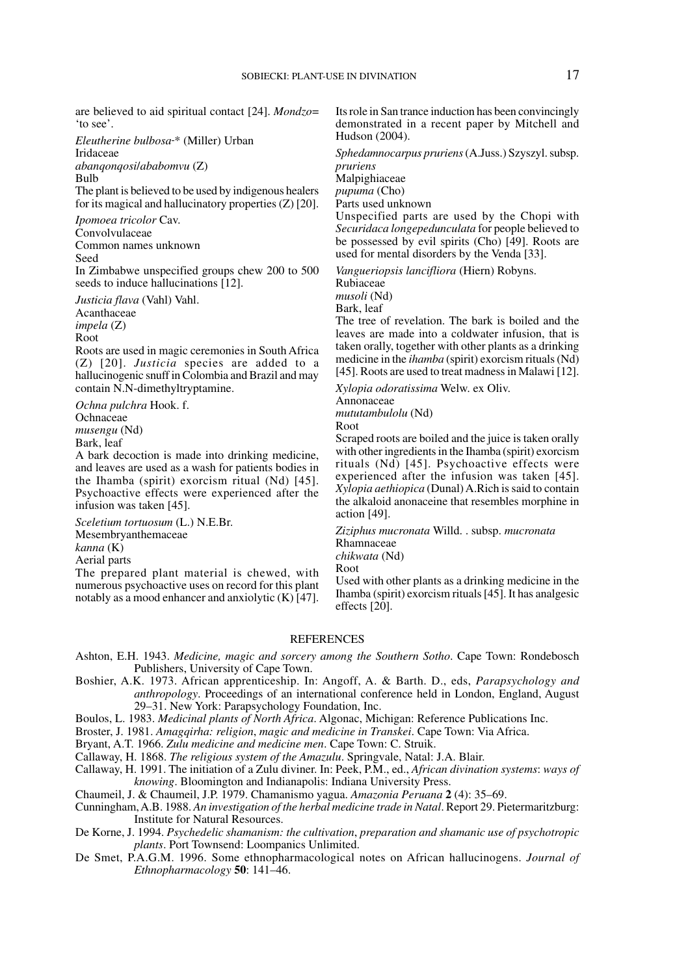are believed to aid spiritual contact [24]. *Mondzo*= 'to see'.

*Eleutherine bulbosa* \* (Miller) Urban Iridaceae *abanqonqosi*/*ababomvu* (Z)

Bulb The plant is believed to be used by indigenous healers

for its magical and hallucinatory properties (Z) [20].

*Ipomoea tricolor* Cav. Convolvulaceae

Common names unknown Seed

In Zimbabwe unspecified groups chew 200 to 500 seeds to induce hallucinations [12].

*Justicia flava* (Vahl) Vahl.

Acanthaceae *impela* (Z)

Root

Roots are used in magic ceremonies in South Africa (Z) [20]. *Justicia* species are added to a hallucinogenic snuff in Colombia and Brazil and may contain N.N-dimethyltryptamine.

*Ochna pulchra* Hook. f. Ochnaceae *musengu* (Nd)

Bark, leaf

A bark decoction is made into drinking medicine, and leaves are used as a wash for patients bodies in the Ihamba (spirit) exorcism ritual (Nd) [45]. Psychoactive effects were experienced after the infusion was taken [45].

*Sceletium tortuosum* (L.) N.E.Br. Mesembryanthemaceae *kanna* (K) Aerial parts

The prepared plant material is chewed, with numerous psychoactive uses on record for this plant notably as a mood enhancer and anxiolytic (K) [47]. Its role in San trance induction has been convincingly demonstrated in a recent paper by Mitchell and Hudson (2004).

*Sphedamnocarpus pruriens* (A.Juss.) Szyszyl. subsp. *pruriens*

**Malpighiaceae** *pupuma* (Cho)

Parts used unknown

Unspecified parts are used by the Chopi with *Securidaca longepedunculata* for people believed to be possessed by evil spirits (Cho)  $[49]$ . Roots are used for mental disorders by the Venda [33].

*Vangueriopsis lancifliora* (Hiern) Robyns.

Rubiaceae *musoli* (Nd)

Bark, leaf

The tree of revelation. The bark is boiled and the leaves are made into a coldwater infusion, that is taken orally, together with other plants as a drinking medicine in the *ihamba* (spirit) exorcism rituals (Nd) [45]. Roots are used to treat madness in Malawi [12].

*Xylopia odoratissima* Welw. ex Oliv. Annonaceae *mututambulolu* (Nd)

Root

Scraped roots are boiled and the juice is taken orally with other ingredients in the Ihamba (spirit) exorcism rituals (Nd) [45]. Psychoactive effects were experienced after the infusion was taken [45]. *Xylopia aethiopica* (Dunal) A.Rich is said to contain the alkaloid anonaceine that resembles morphine in action [49].

*Ziziphus mucronata* Willd. . subsp. *mucronata* Rhamnaceae

*chikwata* (Nd)

Root

Used with other plants as a drinking medicine in the Ihamba (spirit) exorcism rituals [45]. It has analgesic effects [20].

#### **REFERENCES**

- Ashton, E.H. 1943. *Medicine, magic and sorcery among the Southern Sotho*. Cape Town: Rondebosch Publishers, University of Cape Town.
- Boshier, A.K. 1973. African apprenticeship. In: Angoff, A. & Barth. D., eds, *Parapsychology and anthropology*. Proceedings of an international conference held in London, England, August 29–31. New York: Parapsychology Foundation, Inc.
- Boulos, L. 1983. *Medicinal plants of North Africa*. Algonac, Michigan: Reference Publications Inc.
- Broster, J. 1981. *Amagqirha: religion*, *magic and medicine in Transkei*. Cape Town: Via Africa.

Bryant, A.T. 1966. *Zulu medicine and medicine men*. Cape Town: C. Struik.

Callaway, H. 1868. *The religious system of the Amazulu*. Springvale, Natal: J.A. Blair.

Callaway, H. 1991. The initiation of a Zulu diviner. In: Peek, P.M., ed., *African divination systems*: *ways of knowing*. Bloomington and Indianapolis: Indiana University Press.

Chaumeil, J. & Chaumeil, J.P. 1979. Chamanismo yagua. *Amazonia Peruana* **2** (4): 35–69.

Cunningham, A.B. 1988. *An investigation of the herbal medicine trade in Natal*. Report 29. Pietermaritzburg: Institute for Natural Resources.

De Korne, J. 1994. *Psychedelic shamanism: the cultivation*, *preparation and shamanic use of psychotropic plants*. Port Townsend: Loompanics Unlimited.

De Smet, P.A.G.M. 1996. Some ethnopharmacological notes on African hallucinogens. *Journal of Ethnopharmacology* **50**: 141–46.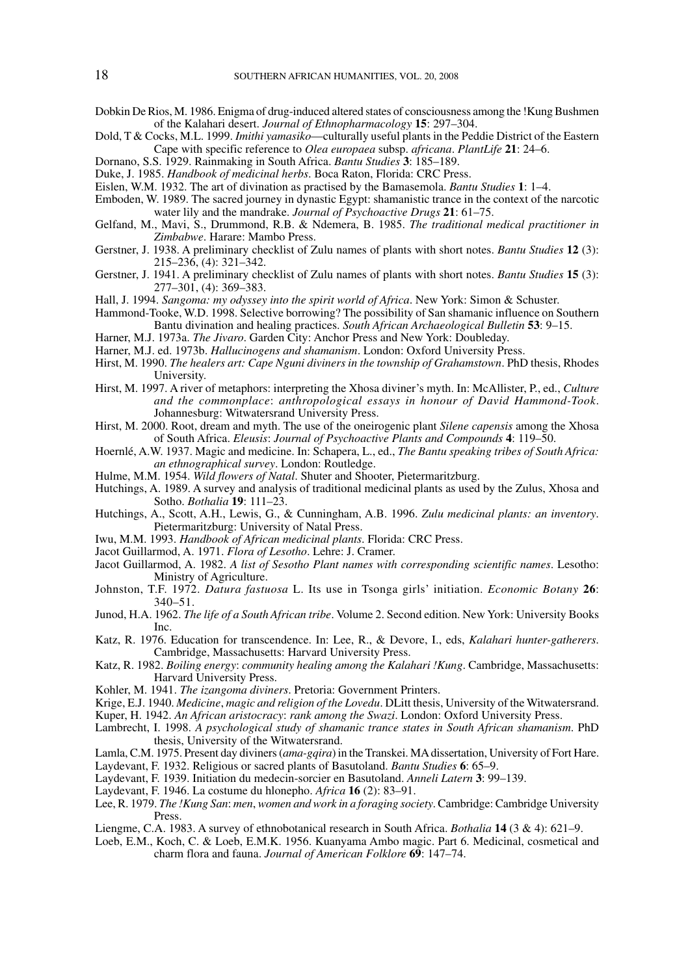- Dobkin De Rios, M. 1986. Enigma of drug-induced altered states of consciousness among the !Kung Bushmen of the Kalahari desert. *Journal of Ethnopharmacology* **15**: 297–304.
- Dold, T & Cocks, M.L. 1999. *Imithi yamasiko*—culturally useful plants in the Peddie District of the Eastern Cape with specific reference to *Olea europaea* subsp. *africana*. *PlantLife* **21**: 24–6.
- Dornano, S.S. 1929. Rainmaking in South Africa. *Bantu Studies* **3**: 185–189.
- Duke, J. 1985. *Handbook of medicinal herbs*. Boca Raton, Florida: CRC Press.
- Eislen, W.M. 1932. The art of divination as practised by the Bamasemola. *Bantu Studies* **1**: 1–4.
- Emboden, W. 1989. The sacred journey in dynastic Egypt: shamanistic trance in the context of the narcotic water lily and the mandrake. *Journal of Psychoactive Drugs* **21**: 61–75.
- Gelfand, M., Mavi, S., Drummond, R.B. & Ndemera, B. 1985. *The traditional medical practitioner in Zimbabwe*. Harare: Mambo Press.
- Gerstner, J. 1938. A preliminary checklist of Zulu names of plants with short notes. *Bantu Studies* **12** (3): 215–236, (4): 321–342.
- Gerstner, J. 1941. A preliminary checklist of Zulu names of plants with short notes. *Bantu Studies* **15** (3): 277–301, (4): 369–383.

Hall, J. 1994. *Sangoma: my odyssey into the spirit world of Africa*. New York: Simon & Schuster.

- Hammond-Tooke, W.D. 1998. Selective borrowing? The possibility of San shamanic influence on Southern Bantu divination and healing practices. *South African Archaeological Bulletin* **53**: 9–15.
- Harner, M.J. 1973a. *The Jivaro*. Garden City: Anchor Press and New York: Doubleday.
- Harner, M.J. ed. 1973b. *Hallucinogens and shamanism*. London: Oxford University Press.
- Hirst, M. 1990. *The healers art: Cape Nguni diviners in the township of Grahamstown*. PhD thesis, Rhodes University.
- Hirst, M. 1997. A river of metaphors: interpreting the Xhosa diviner's myth. In: McAllister, P., ed., *Culture and the commonplace*: *anthropological essays in honour of David Hammond-Took*. Johannesburg: Witwatersrand University Press.
- Hirst, M. 2000. Root, dream and myth. The use of the oneirogenic plant *Silene capensis* among the Xhosa of South Africa. *Eleusis*: *Journal of Psychoactive Plants and Compounds* **4**: 119–50.
- Hoernlé, A.W. 1937. Magic and medicine. In: Schapera, L., ed., *The Bantu speaking tribes of South Africa: an ethnographical survey*. London: Routledge.
- Hulme, M.M. 1954. *Wild flowers of Natal*. Shuter and Shooter, Pietermaritzburg.
- Hutchings, A. 1989. A survey and analysis of traditional medicinal plants as used by the Zulus, Xhosa and Sotho. *Bothalia* **19**: 111–23.
- Hutchings, A., Scott, A.H., Lewis, G., & Cunningham, A.B. 1996. *Zulu medicinal plants: an inventory*. Pietermaritzburg: University of Natal Press.
- Iwu, M.M. 1993. *Handbook of African medicinal plants*. Florida: CRC Press.
- Jacot Guillarmod, A. 1971. *Flora of Lesotho*. Lehre: J. Cramer.
- Jacot Guillarmod, A. 1982. *A list of Sesotho Plant names with corresponding scientific names*. Lesotho: Ministry of Agriculture.
- Johnston, T.F. 1972. *Datura fastuosa* L. Its use in Tsonga girls' initiation. *Economic Botany* **26**: 340–51.
- Junod, H.A. 1962. *The life of a South African tribe*. Volume 2. Second edition. New York: University Books Inc.
- Katz, R. 1976. Education for transcendence. In: Lee, R., & Devore, I., eds, *Kalahari hunter-gatherers*. Cambridge, Massachusetts: Harvard University Press.
- Katz, R. 1982. *Boiling energy*: *community healing among the Kalahari !Kung*. Cambridge, Massachusetts: Harvard University Press.
- Kohler, M. 1941. *The izangoma diviners*. Pretoria: Government Printers.
- Krige, E.J. 1940. *Medicine*, *magic and religion of the Lovedu*. DLitt thesis, University of the Witwatersrand.

Kuper, H. 1942. *An African aristocracy*: *rank among the Swazi*. London: Oxford University Press.

- Lambrecht, I. 1998. *A psychological study of shamanic trance states in South African shamanism*. PhD thesis, University of the Witwatersrand.
- Lamla, C.M. 1975. Present day diviners (*ama-gqira*) in the Transkei. MA dissertation, University of Fort Hare. Laydevant, F. 1932. Religious or sacred plants of Basutoland. *Bantu Studies* **6**: 65–9.
- Laydevant, F. 1939. Initiation du medecin-sorcier en Basutoland. *Anneli Latern* **3**: 99–139.
- Laydevant, F. 1946. La costume du hlonepho. *Africa* **16** (2): 83–91.
- Lee, R. 1979. *The !Kung San*: *men*, *women and work in a foraging society*. Cambridge: Cambridge University Press.
- Liengme, C.A. 1983. A survey of ethnobotanical research in South Africa. *Bothalia* **14** (3 & 4): 621–9.
- Loeb, E.M., Koch, C. & Loeb, E.M.K. 1956. Kuanyama Ambo magic. Part 6. Medicinal, cosmetical and charm flora and fauna. *Journal of American Folklore* **69**: 147–74.